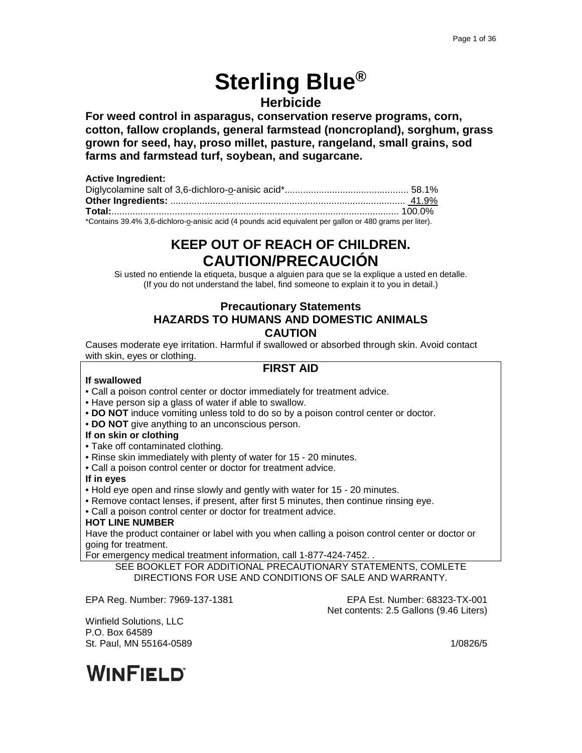# **Sterling Blue® Herbicide**

**For weed control in asparagus, conservation reserve programs, corn, cotton, fallow croplands, general farmstead (noncropland), sorghum, grass grown for seed, hay, proso millet, pasture, rangeland, small grains, sod farms and farmstead turf, soybean, and sugarcane.**

| <b>Active Ingredient:</b>                                                                                |  |
|----------------------------------------------------------------------------------------------------------|--|
|                                                                                                          |  |
|                                                                                                          |  |
|                                                                                                          |  |
| *Contains 39.4% 3,6-dichloro-o-anisic acid (4 pounds acid equivalent per gallon or 480 grams per liter). |  |

# **KEEP OUT OF REACH OF CHILDREN. CAUTION/PRECAUCIÓN**

Si usted no entiende la etiqueta, busque a alguien para que se la explique a usted en detalle. (If you do not understand the label, find someone to explain it to you in detail.)

# **Precautionary Statements HAZARDS TO HUMANS AND DOMESTIC ANIMALS CAUTION**

Causes moderate eye irritation. Harmful if swallowed or absorbed through skin. Avoid contact with skin, eyes or clothing.

# **FIRST AID**

# **If swallowed**

- Call a poison control center or doctor immediately for treatment advice.
- Have person sip a glass of water if able to swallow.
- **DO NOT** induce vomiting unless told to do so by a poison control center or doctor.
- **DO NOT** give anything to an unconscious person.
- **If on skin or clothing**
- Take off contaminated clothing.
- Rinse skin immediately with plenty of water for 15 20 minutes.
- Call a poison control center or doctor for treatment advice.

**If in eyes**

- Hold eye open and rinse slowly and gently with water for 15 20 minutes.
- Remove contact lenses, if present, after first 5 minutes, then continue rinsing eye.
- Call a poison control center or doctor for treatment advice.

### **HOT LINE NUMBER**

Have the product container or label with you when calling a poison control center or doctor or going for treatment.

For emergency medical treatment information, call 1-877-424-7452. .

SEE BOOKLET FOR ADDITIONAL PRECAUTIONARY STATEMENTS, COMLETE DIRECTIONS FOR USE AND CONDITIONS OF SALE AND WARRANTY.

EPA Reg. Number: 7969-137-1381 EPA Est. Number: 68323-TX-001 Net contents: 2.5 Gallons (9.46 Liters)

Winfield Solutions, LLC P.O. Box 64589 St. Paul, MN 55164-0589 1/0826/5

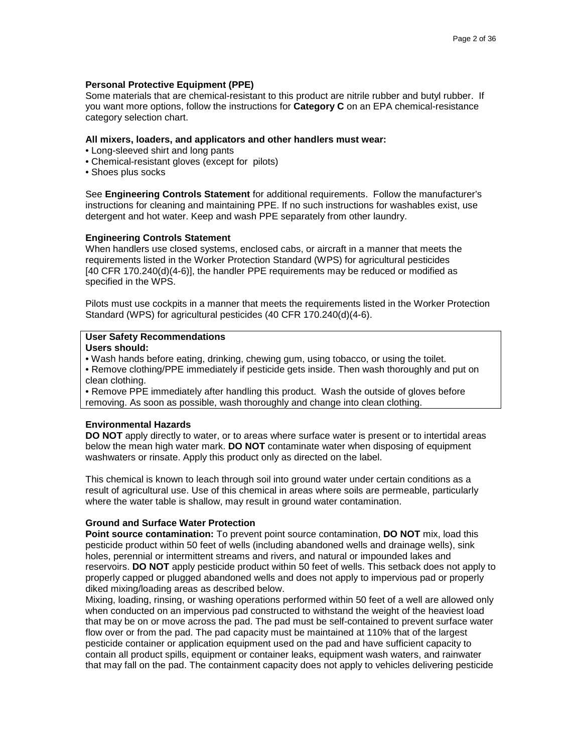### **Personal Protective Equipment (PPE)**

Some materials that are chemical-resistant to this product are nitrile rubber and butyl rubber. If you want more options, follow the instructions for **Category C** on an EPA chemical-resistance category selection chart.

#### **All mixers, loaders, and applicators and other handlers must wear:**

- Long-sleeved shirt and long pants
- Chemical-resistant gloves (except for pilots)
- Shoes plus socks

See **Engineering Controls Statement** for additional requirements. Follow the manufacturer's instructions for cleaning and maintaining PPE. If no such instructions for washables exist, use detergent and hot water. Keep and wash PPE separately from other laundry.

#### **Engineering Controls Statement**

When handlers use closed systems, enclosed cabs, or aircraft in a manner that meets the requirements listed in the Worker Protection Standard (WPS) for agricultural pesticides [40 CFR 170.240(d)(4-6)], the handler PPE requirements may be reduced or modified as specified in the WPS.

Pilots must use cockpits in a manner that meets the requirements listed in the Worker Protection Standard (WPS) for agricultural pesticides (40 CFR 170.240(d)(4-6).

# **User Safety Recommendations**

# **Users should:**

- Wash hands before eating, drinking, chewing gum, using tobacco, or using the toilet.
- Remove clothing/PPE immediately if pesticide gets inside. Then wash thoroughly and put on clean clothing.

• Remove PPE immediately after handling this product. Wash the outside of gloves before removing. As soon as possible, wash thoroughly and change into clean clothing.

### **Environmental Hazards**

**DO NOT** apply directly to water, or to areas where surface water is present or to intertidal areas below the mean high water mark. **DO NOT** contaminate water when disposing of equipment washwaters or rinsate. Apply this product only as directed on the label.

This chemical is known to leach through soil into ground water under certain conditions as a result of agricultural use. Use of this chemical in areas where soils are permeable, particularly where the water table is shallow, may result in ground water contamination.

### **Ground and Surface Water Protection**

**Point source contamination:** To prevent point source contamination, **DO NOT** mix, load this pesticide product within 50 feet of wells (including abandoned wells and drainage wells), sink holes, perennial or intermittent streams and rivers, and natural or impounded lakes and reservoirs. **DO NOT** apply pesticide product within 50 feet of wells. This setback does not apply to properly capped or plugged abandoned wells and does not apply to impervious pad or properly diked mixing/loading areas as described below.

Mixing, loading, rinsing, or washing operations performed within 50 feet of a well are allowed only when conducted on an impervious pad constructed to withstand the weight of the heaviest load that may be on or move across the pad. The pad must be self-contained to prevent surface water flow over or from the pad. The pad capacity must be maintained at 110% that of the largest pesticide container or application equipment used on the pad and have sufficient capacity to contain all product spills, equipment or container leaks, equipment wash waters, and rainwater that may fall on the pad. The containment capacity does not apply to vehicles delivering pesticide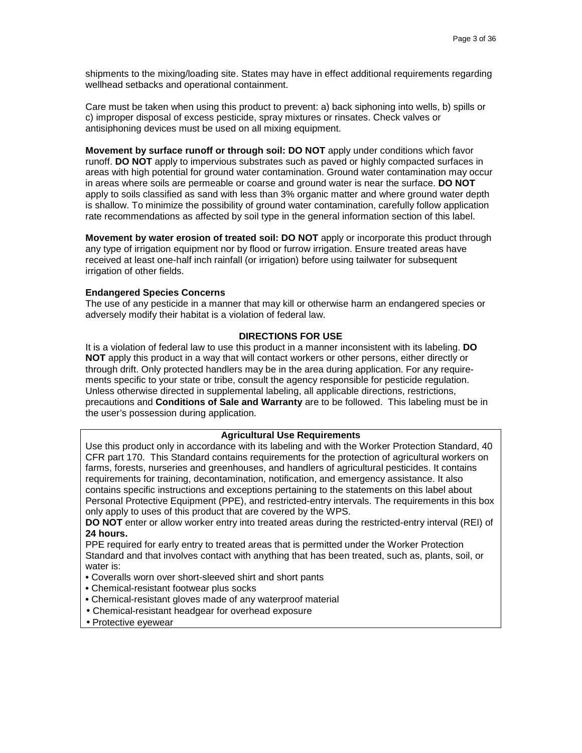shipments to the mixing/loading site. States may have in effect additional requirements regarding wellhead setbacks and operational containment.

Care must be taken when using this product to prevent: a) back siphoning into wells, b) spills or c) improper disposal of excess pesticide, spray mixtures or rinsates. Check valves or antisiphoning devices must be used on all mixing equipment.

**Movement by surface runoff or through soil: DO NOT** apply under conditions which favor runoff. **DO NOT** apply to impervious substrates such as paved or highly compacted surfaces in areas with high potential for ground water contamination. Ground water contamination may occur in areas where soils are permeable or coarse and ground water is near the surface. **DO NOT**  apply to soils classified as sand with less than 3% organic matter and where ground water depth is shallow. To minimize the possibility of ground water contamination, carefully follow application rate recommendations as affected by soil type in the general information section of this label.

**Movement by water erosion of treated soil: DO NOT** apply or incorporate this product through any type of irrigation equipment nor by flood or furrow irrigation. Ensure treated areas have received at least one-half inch rainfall (or irrigation) before using tailwater for subsequent irrigation of other fields.

#### **Endangered Species Concerns**

The use of any pesticide in a manner that may kill or otherwise harm an endangered species or adversely modify their habitat is a violation of federal law.

#### **DIRECTIONS FOR USE**

It is a violation of federal law to use this product in a manner inconsistent with its labeling. **DO NOT** apply this product in a way that will contact workers or other persons, either directly or through drift. Only protected handlers may be in the area during application. For any requirements specific to your state or tribe, consult the agency responsible for pesticide regulation. Unless otherwise directed in supplemental labeling, all applicable directions, restrictions, precautions and **Conditions of Sale and Warranty** are to be followed. This labeling must be in the user's possession during application.

### **Agricultural Use Requirements**

Use this product only in accordance with its labeling and with the Worker Protection Standard, 40 CFR part 170. This Standard contains requirements for the protection of agricultural workers on farms, forests, nurseries and greenhouses, and handlers of agricultural pesticides. It contains requirements for training, decontamination, notification, and emergency assistance. It also contains specific instructions and exceptions pertaining to the statements on this label about Personal Protective Equipment (PPE), and restricted-entry intervals. The requirements in this box only apply to uses of this product that are covered by the WPS.

**DO NOT** enter or allow worker entry into treated areas during the restricted-entry interval (REI) of **24 hours.**

PPE required for early entry to treated areas that is permitted under the Worker Protection Standard and that involves contact with anything that has been treated, such as, plants, soil, or water is:

- Coveralls worn over short-sleeved shirt and short pants
- Chemical-resistant footwear plus socks
- **•** Chemical-resistant gloves made of any waterproof material
- Chemical-resistant headgear for overhead exposure
- Protective eyewear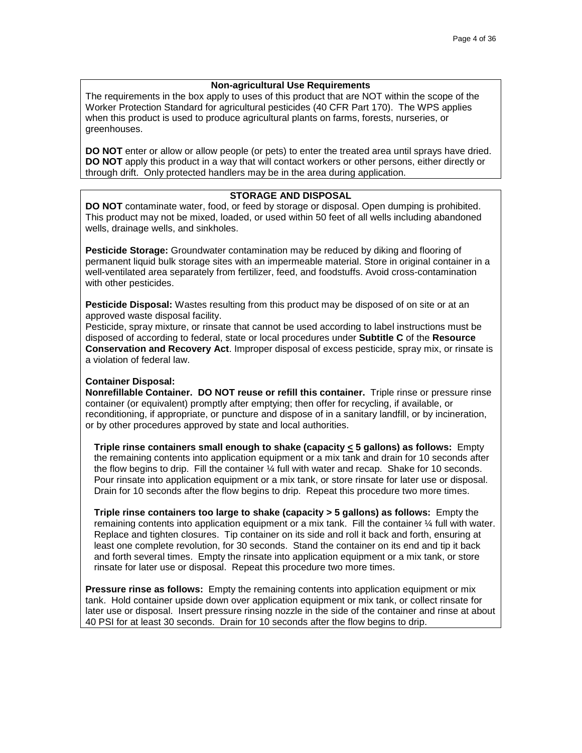### **Non-agricultural Use Requirements**

The requirements in the box apply to uses of this product that are NOT within the scope of the Worker Protection Standard for agricultural pesticides (40 CFR Part 170). The WPS applies when this product is used to produce agricultural plants on farms, forests, nurseries, or greenhouses.

**DO NOT** enter or allow or allow people (or pets) to enter the treated area until sprays have dried. **DO NOT** apply this product in a way that will contact workers or other persons, either directly or through drift. Only protected handlers may be in the area during application.

# **STORAGE AND DISPOSAL**

**DO NOT** contaminate water, food, or feed by storage or disposal. Open dumping is prohibited. This product may not be mixed, loaded, or used within 50 feet of all wells including abandoned wells, drainage wells, and sinkholes.

**Pesticide Storage:** Groundwater contamination may be reduced by diking and flooring of permanent liquid bulk storage sites with an impermeable material. Store in original container in a well-ventilated area separately from fertilizer, feed, and foodstuffs. Avoid cross-contamination with other pesticides.

**Pesticide Disposal:** Wastes resulting from this product may be disposed of on site or at an approved waste disposal facility.

Pesticide, spray mixture, or rinsate that cannot be used according to label instructions must be disposed of according to federal, state or local procedures under **Subtitle C** of the **Resource Conservation and Recovery Act**. Improper disposal of excess pesticide, spray mix, or rinsate is a violation of federal law.

### **Container Disposal:**

**Nonrefillable Container. DO NOT reuse or refill this container.** Triple rinse or pressure rinse container (or equivalent) promptly after emptying; then offer for recycling, if available, or reconditioning, if appropriate, or puncture and dispose of in a sanitary landfill, or by incineration, or by other procedures approved by state and local authorities.

**Triple rinse containers small enough to shake (capacity < 5 gallons) as follows:** Empty the remaining contents into application equipment or a mix tank and drain for 10 seconds after the flow begins to drip. Fill the container ¼ full with water and recap. Shake for 10 seconds. Pour rinsate into application equipment or a mix tank, or store rinsate for later use or disposal. Drain for 10 seconds after the flow begins to drip. Repeat this procedure two more times.

**Triple rinse containers too large to shake (capacity > 5 gallons) as follows:** Empty the remaining contents into application equipment or a mix tank. Fill the container ¼ full with water. Replace and tighten closures. Tip container on its side and roll it back and forth, ensuring at least one complete revolution, for 30 seconds. Stand the container on its end and tip it back and forth several times. Empty the rinsate into application equipment or a mix tank, or store rinsate for later use or disposal. Repeat this procedure two more times.

**Pressure rinse as follows:** Empty the remaining contents into application equipment or mix tank. Hold container upside down over application equipment or mix tank, or collect rinsate for later use or disposal. Insert pressure rinsing nozzle in the side of the container and rinse at about 40 PSI for at least 30 seconds. Drain for 10 seconds after the flow begins to drip.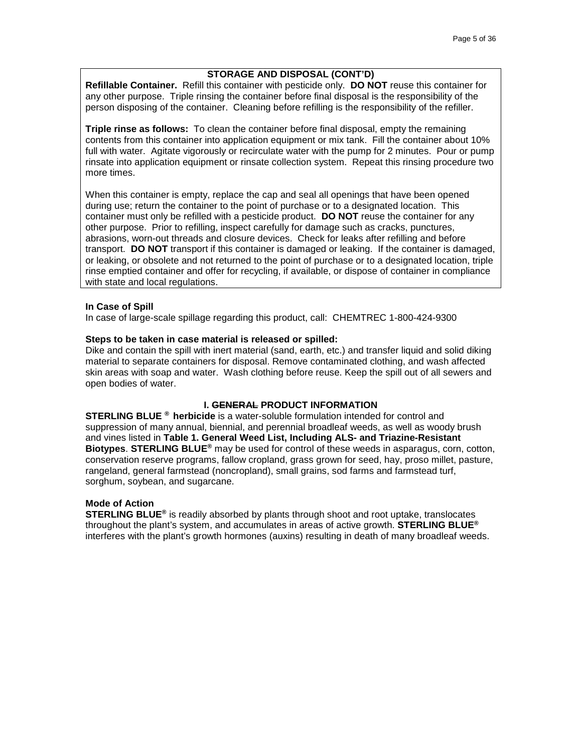# **STORAGE AND DISPOSAL (CONT'D)**

**Refillable Container.** Refill this container with pesticide only. **DO NOT** reuse this container for any other purpose. Triple rinsing the container before final disposal is the responsibility of the person disposing of the container. Cleaning before refilling is the responsibility of the refiller.

**Triple rinse as follows:** To clean the container before final disposal, empty the remaining contents from this container into application equipment or mix tank. Fill the container about 10% full with water. Agitate vigorously or recirculate water with the pump for 2 minutes. Pour or pump rinsate into application equipment or rinsate collection system. Repeat this rinsing procedure two more times.

When this container is empty, replace the cap and seal all openings that have been opened during use; return the container to the point of purchase or to a designated location. This container must only be refilled with a pesticide product. **DO NOT** reuse the container for any other purpose. Prior to refilling, inspect carefully for damage such as cracks, punctures, abrasions, worn-out threads and closure devices. Check for leaks after refilling and before transport. **DO NOT** transport if this container is damaged or leaking. If the container is damaged, or leaking, or obsolete and not returned to the point of purchase or to a designated location, triple rinse emptied container and offer for recycling, if available, or dispose of container in compliance with state and local regulations.

### **In Case of Spill**

In case of large-scale spillage regarding this product, call: CHEMTREC 1-800-424-9300

#### **Steps to be taken in case material is released or spilled:**

Dike and contain the spill with inert material (sand, earth, etc.) and transfer liquid and solid diking material to separate containers for disposal. Remove contaminated clothing, and wash affected skin areas with soap and water. Wash clothing before reuse. Keep the spill out of all sewers and open bodies of water.

### **I. GENERAL PRODUCT INFORMATION**

**STERLING BLUE ® herbicide** is a water-soluble formulation intended for control and suppression of many annual, biennial, and perennial broadleaf weeds, as well as woody brush and vines listed in **Table 1. General Weed List, Including ALS- and Triazine-Resistant Biotypes**. **STERLING BLUE®** may be used for control of these weeds in asparagus, corn, cotton, conservation reserve programs, fallow cropland, grass grown for seed, hay, proso millet, pasture, rangeland, general farmstead (noncropland), small grains, sod farms and farmstead turf, sorghum, soybean, and sugarcane.

#### **Mode of Action**

**STERLING BLUE®** is readily absorbed by plants through shoot and root uptake, translocates throughout the plant's system, and accumulates in areas of active growth. **STERLING BLUE®** interferes with the plant's growth hormones (auxins) resulting in death of many broadleaf weeds.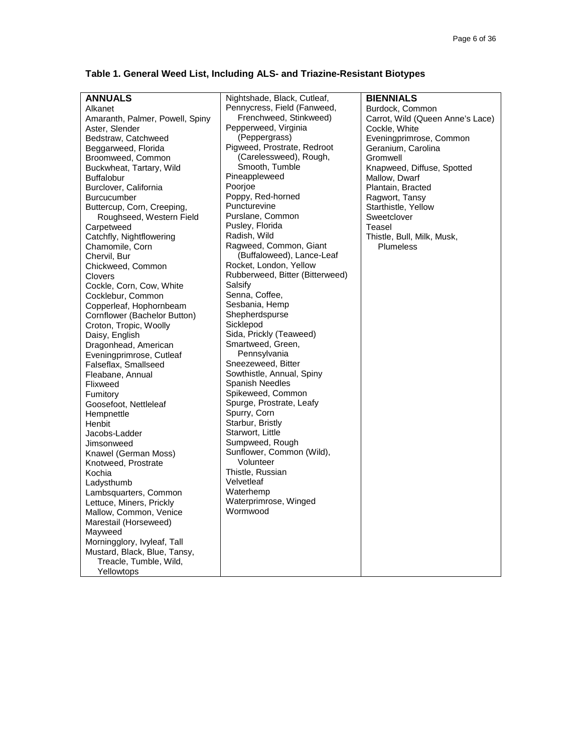# **Table 1. General Weed List, Including ALS- and Triazine-Resistant Biotypes**

| <b>ANNUALS</b>                  | Nightshade, Black, Cutleaf,     | <b>BIENNIALS</b>                 |
|---------------------------------|---------------------------------|----------------------------------|
| Alkanet                         | Pennycress, Field (Fanweed,     | Burdock, Common                  |
| Amaranth, Palmer, Powell, Spiny | Frenchweed, Stinkweed)          | Carrot, Wild (Queen Anne's Lace) |
| Aster, Slender                  | Pepperweed, Virginia            | Cockle, White                    |
| Bedstraw, Catchweed             | (Peppergrass)                   | Eveningprimrose, Common          |
| Beggarweed, Florida             | Pigweed, Prostrate, Redroot     | Geranium, Carolina               |
| Broomweed, Common               | (Carelessweed), Rough,          | Gromwell                         |
| Buckwheat, Tartary, Wild        | Smooth, Tumble                  | Knapweed, Diffuse, Spotted       |
| <b>Buffalobur</b>               | Pineappleweed                   | Mallow, Dwarf                    |
| Burclover, California           | Poorjoe                         | Plantain, Bracted                |
| <b>Burcucumber</b>              | Poppy, Red-horned               | Ragwort, Tansy                   |
| Buttercup, Corn, Creeping,      | Puncturevine                    | Starthistle, Yellow              |
| Roughseed, Western Field        | Purslane, Common                | Sweetclover                      |
| Carpetweed                      | Pusley, Florida                 | Teasel                           |
| Catchfly, Nightflowering        | Radish, Wild                    | Thistle, Bull, Milk, Musk,       |
| Chamomile, Corn                 | Ragweed, Common, Giant          | <b>Plumeless</b>                 |
| Chervil, Bur                    | (Buffaloweed), Lance-Leaf       |                                  |
| Chickweed, Common               | Rocket, London, Yellow          |                                  |
| <b>Clovers</b>                  | Rubberweed, Bitter (Bitterweed) |                                  |
| Cockle, Corn, Cow, White        | Salsify                         |                                  |
| Cocklebur, Common               | Senna, Coffee,                  |                                  |
| Copperleaf, Hophornbeam         | Sesbania, Hemp                  |                                  |
| Cornflower (Bachelor Button)    | Shepherdspurse                  |                                  |
| Croton, Tropic, Woolly          | Sicklepod                       |                                  |
| Daisy, English                  | Sida, Prickly (Teaweed)         |                                  |
| Dragonhead, American            | Smartweed, Green,               |                                  |
| Eveningprimrose, Cutleaf        | Pennsylvania                    |                                  |
| Falseflax, Smallseed            | Sneezeweed, Bitter              |                                  |
| Fleabane, Annual                | Sowthistle, Annual, Spiny       |                                  |
| Flixweed                        | <b>Spanish Needles</b>          |                                  |
| Fumitory                        | Spikeweed, Common               |                                  |
| Goosefoot, Nettleleaf           | Spurge, Prostrate, Leafy        |                                  |
| Hempnettle                      | Spurry, Corn                    |                                  |
| Henbit                          | Starbur, Bristly                |                                  |
| Jacobs-Ladder                   | Starwort, Little                |                                  |
| Jimsonweed                      | Sumpweed, Rough                 |                                  |
| Knawel (German Moss)            | Sunflower, Common (Wild),       |                                  |
| Knotweed, Prostrate             | Volunteer                       |                                  |
| Kochia                          | Thistle, Russian                |                                  |
| Ladysthumb                      | Velvetleaf                      |                                  |
| Lambsquarters, Common           | Waterhemp                       |                                  |
| Lettuce, Miners, Prickly        | Waterprimrose, Winged           |                                  |
| Mallow, Common, Venice          | Wormwood                        |                                  |
| Marestail (Horseweed)           |                                 |                                  |
| Mayweed                         |                                 |                                  |
| Morningglory, Ivyleaf, Tall     |                                 |                                  |
| Mustard, Black, Blue, Tansy,    |                                 |                                  |
| Treacle, Tumble, Wild,          |                                 |                                  |
| Yellowtops                      |                                 |                                  |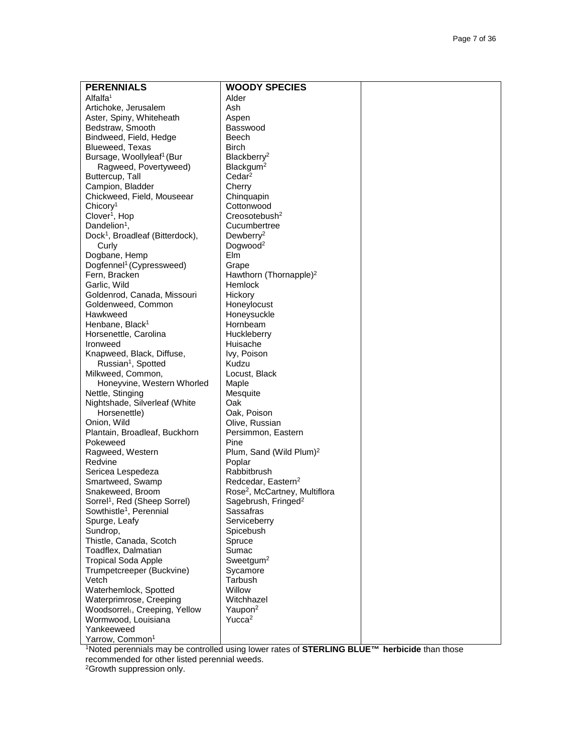| <b>PERENNIALS</b>                                                 | <b>WOODY SPECIES</b>                      |  |
|-------------------------------------------------------------------|-------------------------------------------|--|
| Alfalfa <sup>1</sup>                                              | Alder                                     |  |
| Artichoke, Jerusalem                                              | Ash                                       |  |
| Aster, Spiny, Whiteheath                                          | Aspen                                     |  |
| Bedstraw, Smooth                                                  | Basswood                                  |  |
| Bindweed, Field, Hedge                                            | Beech                                     |  |
| Blueweed, Texas                                                   | <b>Birch</b>                              |  |
| Bursage, Woollyleaf <sup>1</sup> (Bur                             | Blackberry <sup>2</sup>                   |  |
| Ragweed, Povertyweed)                                             | Blackgum <sup>2</sup>                     |  |
| Buttercup, Tall                                                   | Cedar <sup>2</sup>                        |  |
| Campion, Bladder                                                  | Cherry                                    |  |
| Chickweed, Field, Mouseear                                        | Chinquapin                                |  |
| Chicory <sup>1</sup>                                              | Cottonwood                                |  |
| Clover <sup>1</sup> , Hop                                         | Creosotebush <sup>2</sup>                 |  |
| Dandelion <sup>1</sup> ,                                          | Cucumbertree                              |  |
| Dock <sup>1</sup> , Broadleaf (Bitterdock),                       | Dewberry <sup>2</sup>                     |  |
| Curly                                                             | Dogwood <sup>2</sup>                      |  |
| Dogbane, Hemp                                                     | Elm                                       |  |
| Dogfennel <sup>1</sup> (Cypressweed)                              | Grape                                     |  |
| Fern, Bracken                                                     | Hawthorn (Thornapple) <sup>2</sup>        |  |
| Garlic, Wild                                                      | Hemlock                                   |  |
| Goldenrod, Canada, Missouri                                       | Hickory                                   |  |
| Goldenweed, Common                                                | Honeylocust                               |  |
| Hawkweed                                                          | Honeysuckle                               |  |
| Henbane, Black <sup>1</sup>                                       | Hornbeam                                  |  |
| Horsenettle, Carolina                                             | Huckleberry<br>Huisache                   |  |
| Ironweed                                                          |                                           |  |
| Knapweed, Black, Diffuse,<br>Russian <sup>1</sup> , Spotted       | Ivy, Poison<br>Kudzu                      |  |
| Milkweed, Common,                                                 | Locust, Black                             |  |
| Honeyvine, Western Whorled                                        | Maple                                     |  |
| Nettle, Stinging                                                  | Mesquite                                  |  |
| Nightshade, Silverleaf (White                                     | Oak                                       |  |
| Horsenettle)                                                      | Oak, Poison                               |  |
| Onion, Wild                                                       | Olive, Russian                            |  |
| Plantain, Broadleaf, Buckhorn                                     | Persimmon, Eastern                        |  |
| Pokeweed                                                          | Pine                                      |  |
| Ragweed, Western                                                  | Plum, Sand (Wild Plum) <sup>2</sup>       |  |
| Redvine                                                           | Poplar                                    |  |
| Sericea Lespedeza                                                 | Rabbitbrush                               |  |
| Smartweed, Swamp                                                  | Redcedar, Eastern <sup>2</sup>            |  |
| Snakeweed, Broom                                                  | Rose <sup>2</sup> , McCartney, Multiflora |  |
| Sorrel <sup>1</sup> , Red (Sheep Sorrel)                          | Sagebrush, Fringed <sup>2</sup>           |  |
| Sowthistle <sup>1</sup> , Perennial                               | Sassafras                                 |  |
| Spurge, Leafy                                                     | Serviceberry                              |  |
| Sundrop,                                                          | Spicebush                                 |  |
| Thistle, Canada, Scotch                                           | Spruce                                    |  |
| Toadflex, Dalmatian                                               | Sumac                                     |  |
| <b>Tropical Soda Apple</b>                                        | Sweetgum <sup>2</sup>                     |  |
| Trumpetcreeper (Buckvine)                                         | Sycamore                                  |  |
| Vetch                                                             | Tarbush                                   |  |
| Waterhemlock, Spotted                                             | Willow                                    |  |
| Waterprimrose, Creeping                                           | Witchhazel                                |  |
| Woodsorrel <sub>1</sub> , Creeping, Yellow<br>Wormwood, Louisiana | Yaupon <sup>2</sup><br>Yucca <sup>2</sup> |  |
| Yankeeweed                                                        |                                           |  |
| Yarrow, Common <sup>1</sup>                                       |                                           |  |
|                                                                   |                                           |  |

1Noted perennials may be controlled using lower rates of **STERLING BLUE™ herbicide** than those recommended for other listed perennial weeds.

<sup>2</sup>Growth suppression only.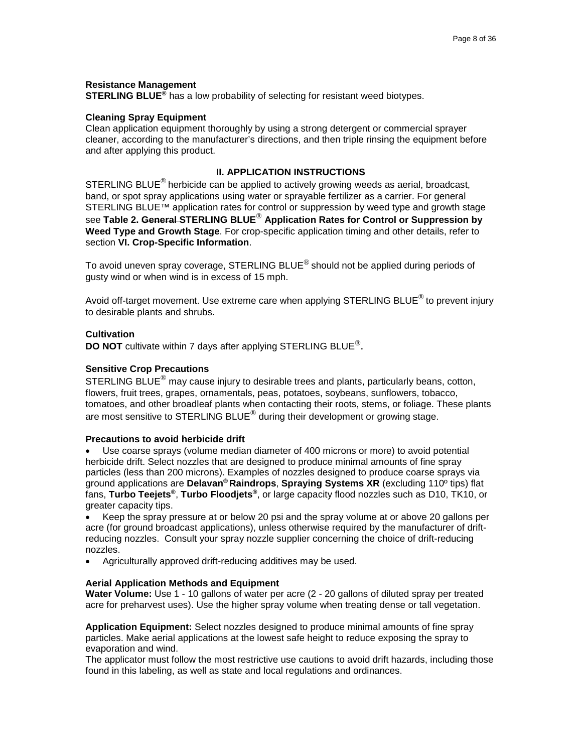#### **Resistance Management**

**STERLING BLUE<sup>®</sup>** has a low probability of selecting for resistant weed biotypes.

#### **Cleaning Spray Equipment**

Clean application equipment thoroughly by using a strong detergent or commercial sprayer cleaner, according to the manufacturer's directions, and then triple rinsing the equipment before and after applying this product.

# **II. APPLICATION INSTRUCTIONS**

STERLING BLUE<sup>®</sup> herbicide can be applied to actively growing weeds as aerial, broadcast, band, or spot spray applications using water or sprayable fertilizer as a carrier. For general STERLING BLUE™ application rates for control or suppression by weed type and growth stage see **Table 2. General STERLING BLUE**® **Application Rates for Control or Suppression by Weed Type and Growth Stage**. For crop-specific application timing and other details, refer to section **VI. Crop-Specific Information**.

To avoid uneven spray coverage, STERLING BLUE<sup>®</sup> should not be applied during periods of gusty wind or when wind is in excess of 15 mph.

Avoid off-target movement. Use extreme care when applying STERLING BLUE<sup>®</sup> to prevent injury to desirable plants and shrubs.

### **Cultivation**

**DO NOT** cultivate within 7 days after applying STERLING BLUE®.

#### **Sensitive Crop Precautions**

STERLING BLUE<sup>®</sup> may cause injury to desirable trees and plants, particularly beans, cotton, flowers, fruit trees, grapes, ornamentals, peas, potatoes, soybeans, sunflowers, tobacco, tomatoes, and other broadleaf plants when contacting their roots, stems, or foliage. These plants are most sensitive to STERLING BLUE $^{\circledR}$  during their development or growing stage.

#### **Precautions to avoid herbicide drift**

• Use coarse sprays (volume median diameter of 400 microns or more) to avoid potential herbicide drift. Select nozzles that are designed to produce minimal amounts of fine spray particles (less than 200 microns). Examples of nozzles designed to produce coarse sprays via ground applications are **Delavan® Raindrops**, **Spraying Systems XR** (excluding 110º tips) flat fans, **Turbo Teejets®**, **Turbo Floodjets®**, or large capacity flood nozzles such as D10, TK10, or greater capacity tips.

• Keep the spray pressure at or below 20 psi and the spray volume at or above 20 gallons per acre (for ground broadcast applications), unless otherwise required by the manufacturer of driftreducing nozzles. Consult your spray nozzle supplier concerning the choice of drift-reducing nozzles.

• Agriculturally approved drift-reducing additives may be used.

#### **Aerial Application Methods and Equipment**

**Water Volume:** Use 1 - 10 gallons of water per acre (2 - 20 gallons of diluted spray per treated acre for preharvest uses). Use the higher spray volume when treating dense or tall vegetation.

**Application Equipment:** Select nozzles designed to produce minimal amounts of fine spray particles. Make aerial applications at the lowest safe height to reduce exposing the spray to evaporation and wind.

The applicator must follow the most restrictive use cautions to avoid drift hazards, including those found in this labeling, as well as state and local regulations and ordinances.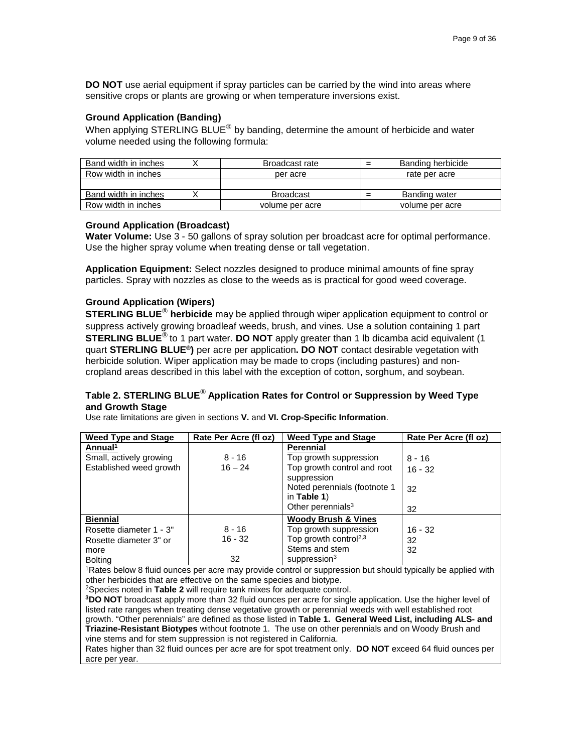**DO NOT** use aerial equipment if spray particles can be carried by the wind into areas where sensitive crops or plants are growing or when temperature inversions exist.

### **Ground Application (Banding)**

When applying STERLING BLUE<sup>®</sup> by banding, determine the amount of herbicide and water volume needed using the following formula:

| Band width in inches | Broadcast rate   | Banding herbicide<br>- |
|----------------------|------------------|------------------------|
| Row width in inches  | per acre         | rate per acre          |
|                      |                  |                        |
| Band width in inches | <b>Broadcast</b> | Banding water          |
| Row width in inches  | volume per acre  | volume per acre        |

#### **Ground Application (Broadcast)**

**Water Volume:** Use 3 - 50 gallons of spray solution per broadcast acre for optimal performance. Use the higher spray volume when treating dense or tall vegetation.

**Application Equipment:** Select nozzles designed to produce minimal amounts of fine spray particles. Spray with nozzles as close to the weeds as is practical for good weed coverage.

### **Ground Application (Wipers)**

**STERLING BLUE**® **herbicide** may be applied through wiper application equipment to control or suppress actively growing broadleaf weeds, brush, and vines. Use a solution containing 1 part **STERLING BLUE**® to 1 part water. **DO NOT** apply greater than 1 lb dicamba acid equivalent (1 quart **STERLING BLUE®)** per acre per application**. DO NOT** contact desirable vegetation with herbicide solution. Wiper application may be made to crops (including pastures) and noncropland areas described in this label with the exception of cotton, sorghum, and soybean.

# **Table 2. STERLING BLUE**® **Application Rates for Control or Suppression by Weed Type and Growth Stage**

Use rate limitations are given in sections **V.** and **VI. Crop-Specific Information**.

| <b>Weed Type and Stage</b>                                                                                               | Rate Per Acre (fl oz) | <b>Weed Type and Stage</b>        | Rate Per Acre (fl oz) |
|--------------------------------------------------------------------------------------------------------------------------|-----------------------|-----------------------------------|-----------------------|
| Annual <sup>1</sup>                                                                                                      |                       | <b>Perennial</b>                  |                       |
| Small, actively growing                                                                                                  | $8 - 16$              | Top growth suppression            | $8 - 16$              |
| Established weed growth                                                                                                  | $16 - 24$             | Top growth control and root       | $16 - 32$             |
|                                                                                                                          |                       | suppression                       |                       |
|                                                                                                                          |                       | Noted perennials (footnote 1      | 32                    |
|                                                                                                                          |                       | in Table $1$ )                    |                       |
|                                                                                                                          |                       | Other perennials $3$              | 32                    |
| <b>Biennial</b>                                                                                                          |                       | <b>Woody Brush &amp; Vines</b>    |                       |
| Rosette diameter 1 - 3"                                                                                                  | $8 - 16$              | Top growth suppression            | $16 - 32$             |
| Rosette diameter 3" or                                                                                                   | $16 - 32$             | Top growth control <sup>2,3</sup> | 32                    |
| more                                                                                                                     |                       | Stems and stem                    | 32                    |
| <b>Bolting</b>                                                                                                           | 32                    | suppression <sup>3</sup>          |                       |
| <sup>1</sup> Rates below 8 fluid ounces per acre may provide control or suppression but should typically be applied with |                       |                                   |                       |
| other herbicides that are effective on the same species and biotype.                                                     |                       |                                   |                       |
| <sup>2</sup> Species noted in Table 2 will require tank mixes for adequate control.                                      |                       |                                   |                       |
| <sup>3</sup> DO NOT broadcast apply more than 32 fluid ounces per acre for single application. Use the higher level of   |                       |                                   |                       |
| listed rate ranges when treating dense vegetative growth or perennial weeds with well established root                   |                       |                                   |                       |
| growth. "Other perennials" are defined as those listed in Table 1. General Weed List, including ALS- and                 |                       |                                   |                       |
| Triazine-Resistant Biotypes without footnote 1. The use on other perennials and on Woody Brush and                       |                       |                                   |                       |

vine stems and for stem suppression is not registered in California.

Rates higher than 32 fluid ounces per acre are for spot treatment only. **DO NOT** exceed 64 fluid ounces per acre per year.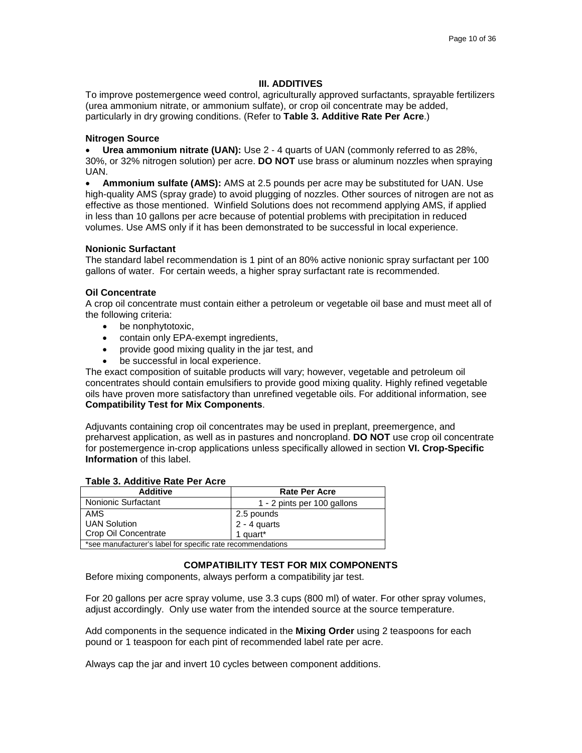### **III. ADDITIVES**

To improve postemergence weed control, agriculturally approved surfactants, sprayable fertilizers (urea ammonium nitrate, or ammonium sulfate), or crop oil concentrate may be added, particularly in dry growing conditions. (Refer to **Table 3. Additive Rate Per Acre**.)

### **Nitrogen Source**

• **Urea ammonium nitrate (UAN):** Use 2 - 4 quarts of UAN (commonly referred to as 28%, 30%, or 32% nitrogen solution) per acre. **DO NOT** use brass or aluminum nozzles when spraying UAN.

• **Ammonium sulfate (AMS):** AMS at 2.5 pounds per acre may be substituted for UAN. Use high-quality AMS (spray grade) to avoid plugging of nozzles. Other sources of nitrogen are not as effective as those mentioned. Winfield Solutions does not recommend applying AMS, if applied in less than 10 gallons per acre because of potential problems with precipitation in reduced volumes. Use AMS only if it has been demonstrated to be successful in local experience.

### **Nonionic Surfactant**

The standard label recommendation is 1 pint of an 80% active nonionic spray surfactant per 100 gallons of water. For certain weeds, a higher spray surfactant rate is recommended.

### **Oil Concentrate**

A crop oil concentrate must contain either a petroleum or vegetable oil base and must meet all of the following criteria:

- be nonphytotoxic,
- contain only EPA-exempt ingredients,
- provide good mixing quality in the jar test, and
- be successful in local experience.

The exact composition of suitable products will vary; however, vegetable and petroleum oil concentrates should contain emulsifiers to provide good mixing quality. Highly refined vegetable oils have proven more satisfactory than unrefined vegetable oils. For additional information, see **Compatibility Test for Mix Components**.

Adjuvants containing crop oil concentrates may be used in preplant, preemergence, and preharvest application, as well as in pastures and noncropland. **DO NOT** use crop oil concentrate for postemergence in-crop applications unless specifically allowed in section **VI. Crop-Specific Information** of this label.

| <b>Additive</b>                                             | <b>Rate Per Acre</b>                   |
|-------------------------------------------------------------|----------------------------------------|
| <b>Nonionic Surfactant</b>                                  | 1 - 2 pints per 100 gallons            |
| AMS                                                         | 2.5 pounds                             |
| <b>UAN Solution</b>                                         | $2 - 4$ quarts<br>1 quart <sup>*</sup> |
| Crop Oil Concentrate                                        |                                        |
| *see manufacturer's label for specific rate recommendations |                                        |

#### **Table 3. Additive Rate Per Acre**

#### **COMPATIBILITY TEST FOR MIX COMPONENTS**

Before mixing components, always perform a compatibility jar test.

For 20 gallons per acre spray volume, use 3.3 cups (800 ml) of water. For other spray volumes, adjust accordingly. Only use water from the intended source at the source temperature.

Add components in the sequence indicated in the **Mixing Order** using 2 teaspoons for each pound or 1 teaspoon for each pint of recommended label rate per acre.

Always cap the jar and invert 10 cycles between component additions.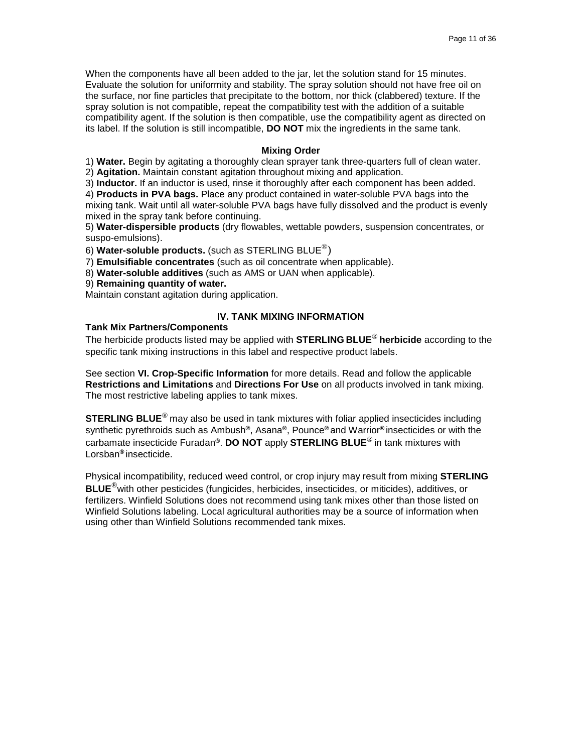When the components have all been added to the jar, let the solution stand for 15 minutes. Evaluate the solution for uniformity and stability. The spray solution should not have free oil on the surface, nor fine particles that precipitate to the bottom, nor thick (clabbered) texture. If the spray solution is not compatible, repeat the compatibility test with the addition of a suitable compatibility agent. If the solution is then compatible, use the compatibility agent as directed on its label. If the solution is still incompatible, **DO NOT** mix the ingredients in the same tank.

### **Mixing Order**

1) **Water.** Begin by agitating a thoroughly clean sprayer tank three-quarters full of clean water. 2) **Agitation.** Maintain constant agitation throughout mixing and application.

3) **Inductor.** If an inductor is used, rinse it thoroughly after each component has been added.

4) **Products in PVA bags.** Place any product contained in water-soluble PVA bags into the

mixing tank. Wait until all water-soluble PVA bags have fully dissolved and the product is evenly mixed in the spray tank before continuing.

5) **Water-dispersible products** (dry flowables, wettable powders, suspension concentrates, or suspo-emulsions).

6) **Water-soluble products.** (such as STERLING BLUE®)

7) **Emulsifiable concentrates** (such as oil concentrate when applicable).

8) **Water-soluble additives** (such as AMS or UAN when applicable).

### 9) **Remaining quantity of water.**

Maintain constant agitation during application.

# **Tank Mix Partners/Components**

# **IV. TANK MIXING INFORMATION**

The herbicide products listed may be applied with **STERLING BLUE**® **herbicide** according to the specific tank mixing instructions in this label and respective product labels.

See section **VI. Crop-Specific Information** for more details. Read and follow the applicable **Restrictions and Limitations** and **Directions For Use** on all products involved in tank mixing. The most restrictive labeling applies to tank mixes.

**STERLING BLUE**® may also be used in tank mixtures with foliar applied insecticides including synthetic pyrethroids such as Ambush**®**, Asana**®**, Pounce**®** and Warrior**®** insecticides or with the carbamate insecticide Furadan**®**. **DO NOT** apply **STERLING BLUE**® in tank mixtures with Lorsban**®** insecticide.

Physical incompatibility, reduced weed control, or crop injury may result from mixing **STERLING BLUE**®with other pesticides (fungicides, herbicides, insecticides, or miticides), additives, or fertilizers. Winfield Solutions does not recommend using tank mixes other than those listed on Winfield Solutions labeling. Local agricultural authorities may be a source of information when using other than Winfield Solutions recommended tank mixes.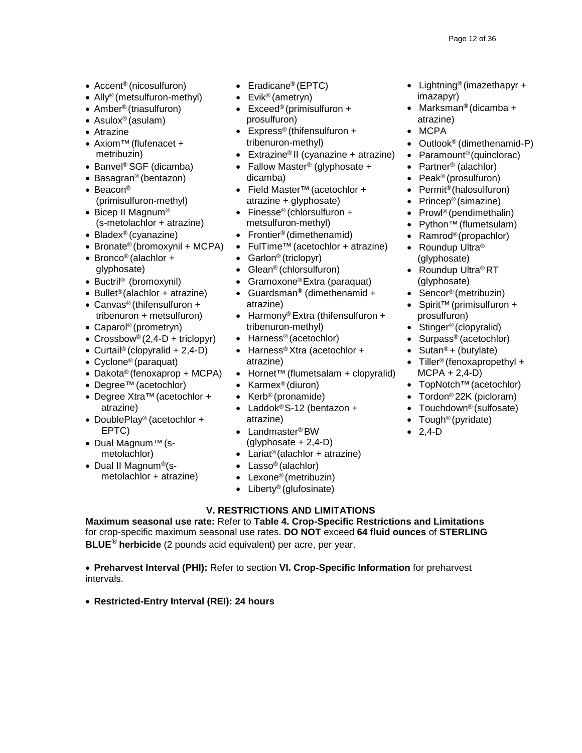- 
- Ally<sup>®</sup> (metsulfuron-methyl)
- Amber® (triasulfuron)
- Asulox® (asulam)
- Atrazine
- Axiom™(flufenacet + metribuzin)
- Banvel® SGF (dicamba)
- Basagran® (bentazon)
- Beacon® (primisulfuron-methyl)
- Bicep II Magnum® (s-metolachlor + atrazine)
- Bladex® (cyanazine)
- Bronate<sup>®</sup> (bromoxynil + MCPA)
- Bronco® (alachlor + glyphosate)
- Buctril<sup>®</sup> (bromoxynil) Gramoxone®Extra (paraquat) (glyphosate)
- Bullet®(alachlor + atrazine) Guardsman**®** (dimethenamid + Sencor® (metribuzin) • Canvas® (thifensulfuron +
- tribenuron + metsulfuron)
- Caparol® (prometryn)
- Crossbow<sup>®</sup> (2,4-D + triclopyr)
- Curtail<sup>®</sup> (clopyralid + 2,4-D)
- Cyclone® (paraquat)
- Dakota® (fenoxaprop + MCPA)
- Degree™(acetochlor)
- Degree Xtra™ (acetochlor + Kerb® (pronamide) Tordon® 22K (picloram) atrazine) Laddok® S-12 (bentazon + Touchdown® (sulfosate)
- DoublePlay<sup>®</sup> (acetochlor + atrazine) atrazine Tough<sup>®</sup> (pyridate) EPTC) • Landmaster® BW • 2,4-D
- Dual Magnum™(s metolachlor)
- Dual II Magnum®(s metolachlor + atrazine)
- 
- Evik® (ametryn)
- Exceed<sup>®</sup> (primisulfuron + prosulfuron)
- Express® (thifensulfuron + tribenuron-methyl)
- Extrazine® II (cyanazine + atrazine)
- Fallow Master<sup>®</sup> (glyphosate + dicamba)
- Field Master™(acetochlor + atrazine + glyphosate)
- Finesse® (chlorsulfuron +
- metsulfuron-methyl) • Frontier<sup>®</sup> (dimethenamid)
- FulTime™(acetochlor + atrazine)
- Garlon<sup>®</sup> (triclopyr)
- 
- Glean<sup>®</sup> (chlorsulfuron)
- 
- atrazine)
- Harmony® Extra (thifensulfuron + tribenuron-methyl)
- Harness<sup>®</sup> (acetochlor)
- Harness<sup>®</sup> Xtra (acetochlor + atrazine)
- Hornet™(flumetsalam + clopyralid)
- Karmex® (diuron)
- 
- atrazine) Laddok® S-12 (bentazon + •
	- $(glyphosate + 2,4-D)$
	- Lariat<sup>®</sup> (alachlor + atrazine)
	- Lasso<sup>®</sup> (alachlor)
	- Lexone<sup>®</sup> (metribuzin)
	- Liberty<sup>®</sup> (glufosinate)

# **V. RESTRICTIONS AND LIMITATIONS**

**Maximum seasonal use rate:** Refer to **Table 4. Crop-Specific Restrictions and Limitations**  for crop-specific maximum seasonal use rates. **DO NOT** exceed **64 fluid ounces** of **STERLING BLUE**® **herbicide** (2 pounds acid equivalent) per acre, per year.

• **Preharvest Interval (PHI):** Refer to section **VI. Crop-Specific Information** for preharvest intervals.

• **Restricted-Entry Interval (REI): 24 hours**

- Accent® (nicosulfuron) Eradicane® (EPTC) Lightning**®** (imazethapyr + imazapyr)
	- Marksman**®** (dicamba + atrazine)
	- MCPA
	- Outlook<sup>®</sup> (dimethenamid-P)
	- Paramount®(quinclorac)
	- Partner<sup>®</sup> (alachlor)
	- Peak® (prosulfuron)
	- Permit<sup>®</sup>(halosulfuron)
	- Princep® (simazine)
	- Prowl<sup>®</sup> (pendimethalin)
	- Python™(flumetsulam)
	- Ramrod<sup>®</sup>(propachlor)
	- Roundup Ultra<sup>®</sup> (glyphosate)
	- Roundup Ultra® RT
	-
	- Spirit™(primisulfuron + prosulfuron)
	- Stinger<sup>®</sup> (clopyralid)
	- Surpass® (acetochlor)
	- Sutan<sup>®</sup> + (butylate)
	- Tiller<sup>®</sup> (fenoxapropethyl +  $MCPA + 2,4-D$
	- TopNotch™(acetochlor)
	-
	-
	-
	-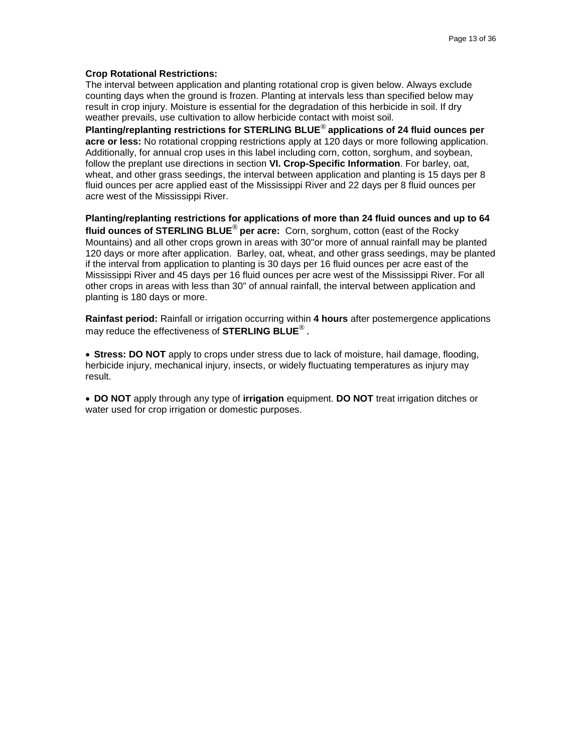#### **Crop Rotational Restrictions:**

The interval between application and planting rotational crop is given below. Always exclude counting days when the ground is frozen. Planting at intervals less than specified below may result in crop injury. Moisture is essential for the degradation of this herbicide in soil. If dry weather prevails, use cultivation to allow herbicide contact with moist soil.

**Planting/replanting restrictions for STERLING BLUE**® **applications of 24 fluid ounces per acre or less:** No rotational cropping restrictions apply at 120 days or more following application. Additionally, for annual crop uses in this label including corn, cotton, sorghum, and soybean, follow the preplant use directions in section **VI. Crop-Specific Information**. For barley, oat, wheat, and other grass seedings, the interval between application and planting is 15 days per 8 fluid ounces per acre applied east of the Mississippi River and 22 days per 8 fluid ounces per acre west of the Mississippi River.

**Planting/replanting restrictions for applications of more than 24 fluid ounces and up to 64 fluid ounces of STERLING BLUE**® **per acre:** Corn, sorghum, cotton (east of the Rocky Mountains) and all other crops grown in areas with 30"or more of annual rainfall may be planted 120 days or more after application. Barley, oat, wheat, and other grass seedings, may be planted if the interval from application to planting is 30 days per 16 fluid ounces per acre east of the Mississippi River and 45 days per 16 fluid ounces per acre west of the Mississippi River. For all other crops in areas with less than 30" of annual rainfall, the interval between application and planting is 180 days or more.

**Rainfast period:** Rainfall or irrigation occurring within **4 hours** after postemergence applications may reduce the effectiveness of **STERLING BLUE**® .

• **Stress: DO NOT** apply to crops under stress due to lack of moisture, hail damage, flooding, herbicide injury, mechanical injury, insects, or widely fluctuating temperatures as injury may result.

• **DO NOT** apply through any type of **irrigation** equipment. **DO NOT** treat irrigation ditches or water used for crop irrigation or domestic purposes.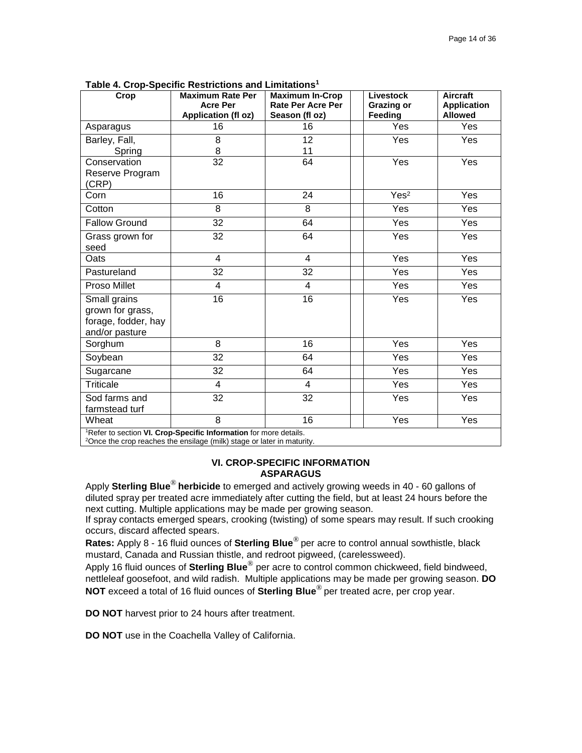| Crop                                                                          | <b>Maximum Rate Per</b>                | <b>Maximum In-Crop</b>                     | Livestock                    | <b>Aircraft</b>                      |
|-------------------------------------------------------------------------------|----------------------------------------|--------------------------------------------|------------------------------|--------------------------------------|
|                                                                               | <b>Acre Per</b><br>Application (fl oz) | <b>Rate Per Acre Per</b><br>Season (fl oz) | <b>Grazing or</b><br>Feeding | <b>Application</b><br><b>Allowed</b> |
| Asparagus                                                                     | 16                                     | 16                                         | Yes                          | Yes                                  |
| Barley, Fall,                                                                 | 8                                      | 12                                         | Yes                          | Yes                                  |
| Spring                                                                        | 8                                      | 11                                         |                              |                                      |
| Conservation                                                                  | 32                                     | 64                                         | Yes                          | Yes                                  |
| Reserve Program<br>(CRP)                                                      |                                        |                                            |                              |                                      |
| Corn                                                                          | 16                                     | 24                                         | Yes <sup>2</sup>             | Yes                                  |
| Cotton                                                                        | 8                                      | 8                                          | Yes                          | Yes                                  |
| <b>Fallow Ground</b>                                                          | 32                                     | 64                                         | Yes                          | <b>Yes</b>                           |
| Grass grown for<br>seed                                                       | 32                                     | 64                                         | Yes                          | Yes                                  |
| Oats                                                                          | 4                                      | 4                                          | Yes                          | Yes                                  |
| Pastureland                                                                   | 32                                     | 32                                         | Yes                          | Yes                                  |
| Proso Millet                                                                  | $\overline{\mathbf{4}}$                | $\overline{\mathbf{4}}$                    | Yes                          | Yes                                  |
| Small grains<br>grown for grass,<br>forage, fodder, hay<br>and/or pasture     | $\overline{16}$                        | 16                                         | Yes                          | Yes                                  |
| Sorghum                                                                       | 8                                      | 16                                         | Yes                          | Yes                                  |
| Soybean                                                                       | $\overline{32}$                        | 64                                         | Yes                          | Yes                                  |
| Sugarcane                                                                     | 32                                     | 64                                         | Yes                          | Yes                                  |
| <b>Triticale</b>                                                              | 4                                      | $\overline{4}$                             | Yes                          | Yes                                  |
| Sod farms and<br>farmstead turf                                               | 32                                     | 32                                         | Yes                          | Yes                                  |
| Wheat                                                                         | $\overline{8}$                         | 16                                         | Yes                          | Yes                                  |
| <sup>1</sup> Refer to section VI. Crop-Specific Information for more details. |                                        |                                            |                              |                                      |

**Table 4. Crop-Specific Restrictions and Limitations1**

<sup>1</sup>Refer to section **VI. Crop-Specific Information** for more details.<br><sup>2</sup>Once the crop reaches the ensilage (milk) stage or later in maturity.

### **VI. CROP-SPECIFIC INFORMATION ASPARAGUS**

Apply **Sterling Blue**® **herbicide** to emerged and actively growing weeds in 40 - 60 gallons of diluted spray per treated acre immediately after cutting the field, but at least 24 hours before the next cutting. Multiple applications may be made per growing season.

If spray contacts emerged spears, crooking (twisting) of some spears may result. If such crooking occurs, discard affected spears.

**Rates:** Apply 8 - 16 fluid ounces of **Sterling Blue**® per acre to control annual sowthistle, black mustard, Canada and Russian thistle, and redroot pigweed, (carelessweed).

Apply 16 fluid ounces of **Sterling Blue**® per acre to control common chickweed, field bindweed, nettleleaf goosefoot, and wild radish. Multiple applications may be made per growing season. **DO NOT** exceed a total of 16 fluid ounces of **Sterling Blue**® per treated acre, per crop year.

**DO NOT** harvest prior to 24 hours after treatment.

**DO NOT** use in the Coachella Valley of California.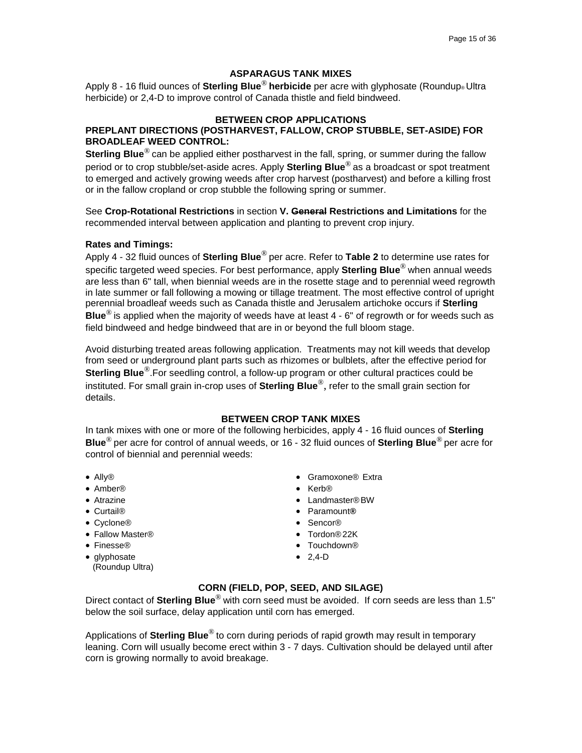# **ASPARAGUS TANK MIXES**

Apply 8 - 16 fluid ounces of **Sterling Blue**® **herbicide** per acre with glyphosate (Roundup® Ultra herbicide) or 2,4-D to improve control of Canada thistle and field bindweed.

### **BETWEEN CROP APPLICATIONS**

# **PREPLANT DIRECTIONS (POSTHARVEST, FALLOW, CROP STUBBLE, SET-ASIDE) FOR BROADLEAF WEED CONTROL:**

**Sterling Blue**® can be applied either postharvest in the fall, spring, or summer during the fallow period or to crop stubble/set-aside acres. Apply **Sterling Blue**® as a broadcast or spot treatment to emerged and actively growing weeds after crop harvest (postharvest) and before a killing frost or in the fallow cropland or crop stubble the following spring or summer.

See **Crop-Rotational Restrictions** in section **V. General Restrictions and Limitations** for the recommended interval between application and planting to prevent crop injury.

### **Rates and Timings:**

Apply 4 - 32 fluid ounces of **Sterling Blue**® per acre. Refer to **Table 2** to determine use rates for specific targeted weed species. For best performance, apply **Sterling Blue**® when annual weeds are less than 6" tall, when biennial weeds are in the rosette stage and to perennial weed regrowth in late summer or fall following a mowing or tillage treatment. The most effective control of upright perennial broadleaf weeds such as Canada thistle and Jerusalem artichoke occurs if **Sterling Blue**® is applied when the majority of weeds have at least 4 - 6" of regrowth or for weeds such as field bindweed and hedge bindweed that are in or beyond the full bloom stage.

Avoid disturbing treated areas following application. Treatments may not kill weeds that develop from seed or underground plant parts such as rhizomes or bulblets, after the effective period for **Sterling Blue**®.For seedling control, a follow-up program or other cultural practices could be instituted. For small grain in-crop uses of **Sterling Blue**®, refer to the small grain section for details.

### **BETWEEN CROP TANK MIXES**

In tank mixes with one or more of the following herbicides, apply 4 - 16 fluid ounces of **Sterling Blue**® per acre for control of annual weeds, or 16 - 32 fluid ounces of **Sterling Blue**® per acre for control of biennial and perennial weeds:

- 
- Amber® Kerb®
- 
- 
- Cyclone® Sencor®
- Fallow Master®  **Tordon®22K**
- 
- glyphosate (Roundup Ultra)
- Ally® Gramoxone® Extra
	-
- Atrazine Landmaster®BW
- Curtail® Paramount**®**
	-
	-
- Finesse® Touchdown®
	- 2,4-D

# **CORN (FIELD, POP, SEED, AND SILAGE)**

Direct contact of **Sterling Blue**® with corn seed must be avoided. If corn seeds are less than 1.5" below the soil surface, delay application until corn has emerged.

Applications of **Sterling Blue**® to corn during periods of rapid growth may result in temporary leaning. Corn will usually become erect within 3 - 7 days. Cultivation should be delayed until after corn is growing normally to avoid breakage.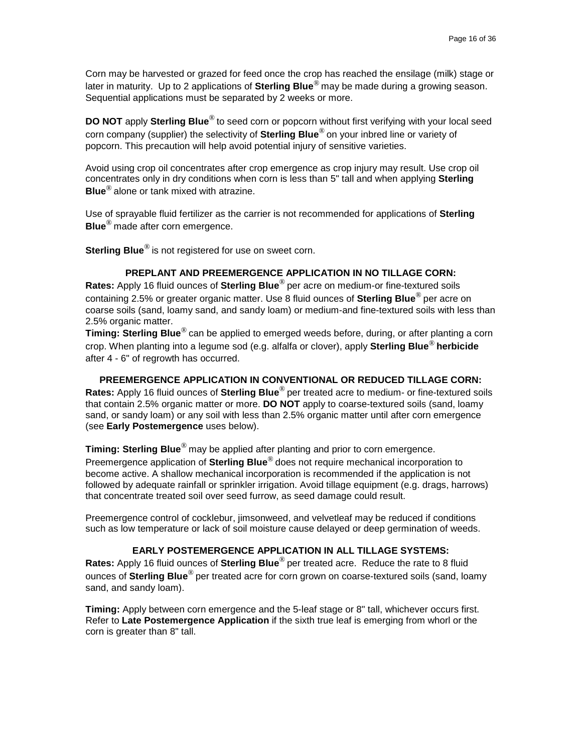Corn may be harvested or grazed for feed once the crop has reached the ensilage (milk) stage or later in maturity. Up to 2 applications of **Sterling Blue**® may be made during a growing season. Sequential applications must be separated by 2 weeks or more.

**DO NOT** apply **Sterling Blue**® to seed corn or popcorn without first verifying with your local seed corn company (supplier) the selectivity of **Sterling Blue**® on your inbred line or variety of popcorn. This precaution will help avoid potential injury of sensitive varieties.

Avoid using crop oil concentrates after crop emergence as crop injury may result. Use crop oil concentrates only in dry conditions when corn is less than 5" tall and when applying **Sterling Blue**® alone or tank mixed with atrazine.

Use of sprayable fluid fertilizer as the carrier is not recommended for applications of **Sterling Blue**® made after corn emergence.

**Sterling Blue**<sup>®</sup> is not registered for use on sweet corn.

# **PREPLANT AND PREEMERGENCE APPLICATION IN NO TILLAGE CORN:**

**Rates:** Apply 16 fluid ounces of **Sterling Blue**® per acre on medium-or fine-textured soils containing 2.5% or greater organic matter. Use 8 fluid ounces of **Sterling Blue**® per acre on coarse soils (sand, loamy sand, and sandy loam) or medium-and fine-textured soils with less than 2.5% organic matter.

**Timing: Sterling Blue**® can be applied to emerged weeds before, during, or after planting a corn crop. When planting into a legume sod (e.g. alfalfa or clover), apply **Sterling Blue**® **herbicide**  after 4 - 6" of regrowth has occurred.

### **PREEMERGENCE APPLICATION IN CONVENTIONAL OR REDUCED TILLAGE CORN:**

**Rates:** Apply 16 fluid ounces of **Sterling Blue**® per treated acre to medium- or fine-textured soils that contain 2.5% organic matter or more. **DO NOT** apply to coarse-textured soils (sand, loamy sand, or sandy loam) or any soil with less than 2.5% organic matter until after corn emergence (see **Early Postemergence** uses below).

**Timing: Sterling Blue**® may be applied after planting and prior to corn emergence.

Preemergence application of **Sterling Blue**® does not require mechanical incorporation to become active. A shallow mechanical incorporation is recommended if the application is not followed by adequate rainfall or sprinkler irrigation. Avoid tillage equipment (e.g. drags, harrows) that concentrate treated soil over seed furrow, as seed damage could result.

Preemergence control of cocklebur, jimsonweed, and velvetleaf may be reduced if conditions such as low temperature or lack of soil moisture cause delayed or deep germination of weeds.

# **EARLY POSTEMERGENCE APPLICATION IN ALL TILLAGE SYSTEMS:**

**Rates:** Apply 16 fluid ounces of **Sterling Blue**® per treated acre. Reduce the rate to 8 fluid ounces of **Sterling Blue**® per treated acre for corn grown on coarse-textured soils (sand, loamy sand, and sandy loam).

**Timing:** Apply between corn emergence and the 5-leaf stage or 8" tall, whichever occurs first. Refer to **Late Postemergence Application** if the sixth true leaf is emerging from whorl or the corn is greater than 8" tall.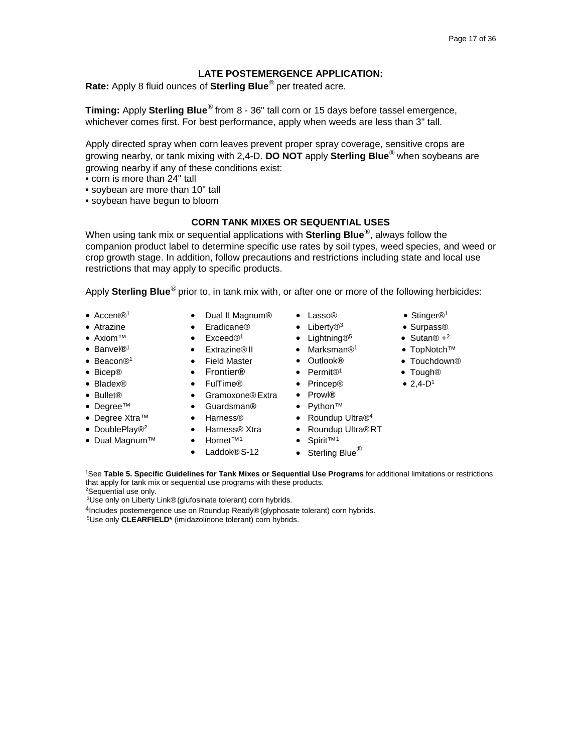# **LATE POSTEMERGENCE APPLICATION:**

**Rate:** Apply 8 fluid ounces of **Sterling Blue**® per treated acre.

**Timing:** Apply **Sterling Blue**® from 8 - 36" tall corn or 15 days before tassel emergence, whichever comes first. For best performance, apply when weeds are less than 3" tall.

Apply directed spray when corn leaves prevent proper spray coverage, sensitive crops are growing nearby, or tank mixing with 2,4-D. **DO NOT** apply **Sterling Blue**® when soybeans are growing nearby if any of these conditions exist:

- corn is more than 24" tall
- soybean are more than 10" tall
- soybean have begun to bloom

### **CORN TANK MIXES OR SEQUENTIAL USES**

When using tank mix or sequential applications with **Sterling Blue**®, always follow the companion product label to determine specific use rates by soil types, weed species, and weed or crop growth stage. In addition, follow precautions and restrictions including state and local use restrictions that may apply to specific products.

Apply **Sterling Blue**® prior to, in tank mix with, or after one or more of the following herbicides:

- 
- 
- 
- 
- 
- 
- 
- 
- 
- 
- 
- Dual Magnum™ Hornet™1 Spirit™1
- Accent®1 Dual II Magnum® Lasso® Stinger®1
	-
- Axiom™ Exceed®<sup>1</sup> Lightning®<sup>5</sup> Sutan® +<sup>2</sup>
	-
	-
	-
- Bladex® FulTime® Princep® 2,4-D1
- Bullet® Gramoxone®Extra Prowl**®**
- Degree™ Guardsman**®** Python™
	-
- Degree Xtra™ Harness® Roundup Ultra®4 • DoublePlay®<sup>2</sup> • Harness® Xtra • Roundup Ultra®RT
	-
	- Laddok $@S-12$  Sterling Blue $@S-12$
- Atrazine Eradicane® Liberty®<sup>3</sup> Surpass®
	-
- Banvel**®**<sup>1</sup> Extrazine®II Marksman®1 TopNotch™
	-
- Bicep® Frontier**®** Permit®1 Tough®
	-
	-
	-
	-
	-
	-
	-
	-

1 See **Table 5. Specific Guidelines for Tank Mixes or Sequential Use Programs** for additional limitations or restrictions that apply for tank mix or sequential use programs with these products.

2 Sequential use only.

3 Use only on Liberty Link®(glufosinate tolerant) corn hybrids.

<sup>4</sup>Includes postemergence use on Roundup Ready® (glyphosate tolerant) corn hybrids.

5 Use only **CLEARFIELD\*** (imidazolinone tolerant) corn hybrids.

- 
- 
- 
- 
- Beacon®1 Field Master Outlook**®** Touchdown®
	-
	-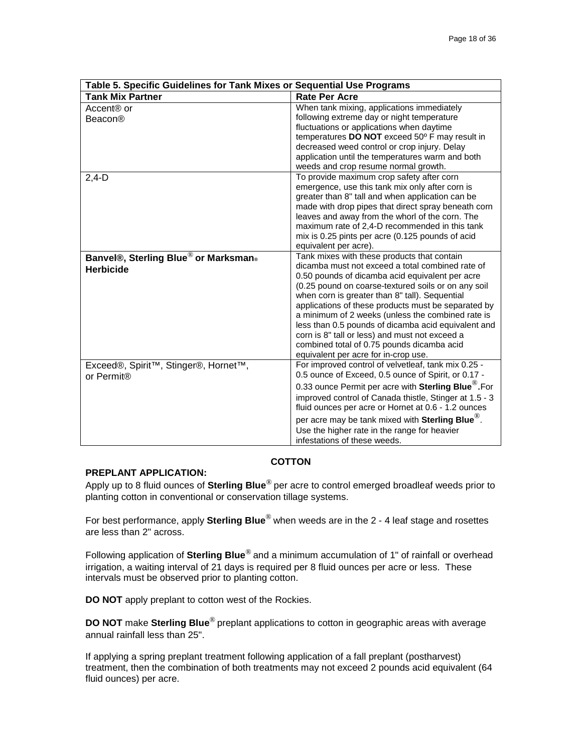| Table 5. Specific Guidelines for Tank Mixes or Sequential Use Programs |                                                                 |
|------------------------------------------------------------------------|-----------------------------------------------------------------|
| <b>Tank Mix Partner</b>                                                | <b>Rate Per Acre</b>                                            |
| Accent <sup>®</sup> or                                                 | When tank mixing, applications immediately                      |
| Beacon®                                                                | following extreme day or night temperature                      |
|                                                                        | fluctuations or applications when daytime                       |
|                                                                        | temperatures DO NOT exceed 50° F may result in                  |
|                                                                        | decreased weed control or crop injury. Delay                    |
|                                                                        | application until the temperatures warm and both                |
|                                                                        | weeds and crop resume normal growth.                            |
| $2,4-D$                                                                | To provide maximum crop safety after corn                       |
|                                                                        | emergence, use this tank mix only after corn is                 |
|                                                                        | greater than 8" tall and when application can be                |
|                                                                        | made with drop pipes that direct spray beneath corn             |
|                                                                        | leaves and away from the whorl of the corn. The                 |
|                                                                        | maximum rate of 2.4-D recommended in this tank                  |
|                                                                        | mix is 0.25 pints per acre (0.125 pounds of acid                |
|                                                                        | equivalent per acre).                                           |
| Banvel®, Sterling Blue® or Marksman®                                   | Tank mixes with these products that contain                     |
| <b>Herbicide</b>                                                       | dicamba must not exceed a total combined rate of                |
|                                                                        | 0.50 pounds of dicamba acid equivalent per acre                 |
|                                                                        | (0.25 pound on coarse-textured soils or on any soil             |
|                                                                        | when corn is greater than 8" tall). Sequential                  |
|                                                                        | applications of these products must be separated by             |
|                                                                        | a minimum of 2 weeks (unless the combined rate is               |
|                                                                        | less than 0.5 pounds of dicamba acid equivalent and             |
|                                                                        | corn is 8" tall or less) and must not exceed a                  |
|                                                                        | combined total of 0.75 pounds dicamba acid                      |
|                                                                        | equivalent per acre for in-crop use.                            |
| Exceed®, Spirit <sup>™</sup> , Stinger®, Hornet <sup>™</sup> ,         | For improved control of velvetleaf, tank mix 0.25 -             |
| or Permit <sup>®</sup>                                                 | 0.5 ounce of Exceed, 0.5 ounce of Spirit, or 0.17 -             |
|                                                                        | 0.33 ounce Permit per acre with Sterling Blue <sup>®</sup> .For |
|                                                                        | improved control of Canada thistle, Stinger at 1.5 - 3          |
|                                                                        | fluid ounces per acre or Hornet at 0.6 - 1.2 ounces             |
|                                                                        | per acre may be tank mixed with Sterling Blue <sup>®</sup> .    |
|                                                                        | Use the higher rate in the range for heavier                    |
|                                                                        | infestations of these weeds.                                    |

# **COTTON**

# **PREPLANT APPLICATION:**

Apply up to 8 fluid ounces of **Sterling Blue**® per acre to control emerged broadleaf weeds prior to planting cotton in conventional or conservation tillage systems.

For best performance, apply **Sterling Blue**® when weeds are in the 2 - 4 leaf stage and rosettes are less than 2" across.

Following application of **Sterling Blue**® and a minimum accumulation of 1" of rainfall or overhead irrigation, a waiting interval of 21 days is required per 8 fluid ounces per acre or less. These intervals must be observed prior to planting cotton.

**DO NOT** apply preplant to cotton west of the Rockies.

**DO NOT** make **Sterling Blue**® preplant applications to cotton in geographic areas with average annual rainfall less than 25".

If applying a spring preplant treatment following application of a fall preplant (postharvest) treatment, then the combination of both treatments may not exceed 2 pounds acid equivalent (64 fluid ounces) per acre.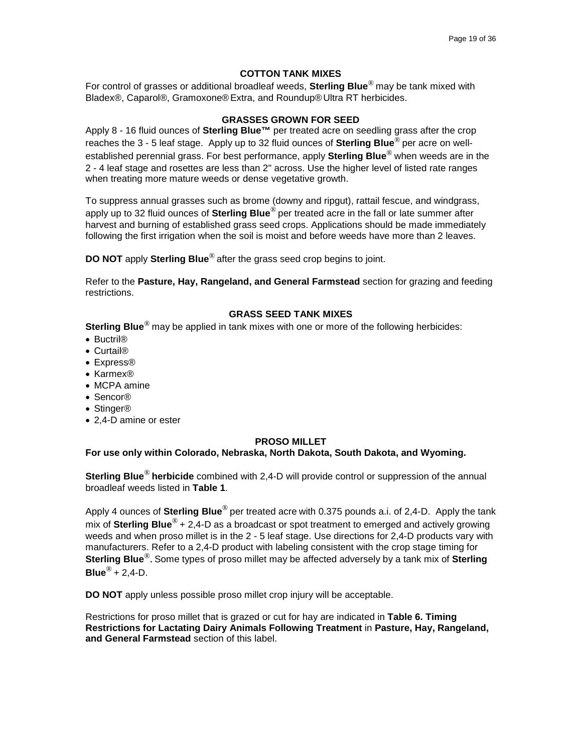### **COTTON TANK MIXES**

For control of grasses or additional broadleaf weeds, **Sterling Blue**® may be tank mixed with Bladex®, Caparol®, Gramoxone®Extra, and Roundup®Ultra RT herbicides.

### **GRASSES GROWN FOR SEED**

Apply 8 - 16 fluid ounces of **Sterling Blue™** per treated acre on seedling grass after the crop reaches the 3 - 5 leaf stage. Apply up to 32 fluid ounces of **Sterling Blue**® per acre on wellestablished perennial grass. For best performance, apply **Sterling Blue**® when weeds are in the 2 - 4 leaf stage and rosettes are less than 2" across. Use the higher level of listed rate ranges when treating more mature weeds or dense vegetative growth.

To suppress annual grasses such as brome (downy and ripgut), rattail fescue, and windgrass, apply up to 32 fluid ounces of **Sterling Blue**® per treated acre in the fall or late summer after harvest and burning of established grass seed crops. Applications should be made immediately following the first irrigation when the soil is moist and before weeds have more than 2 leaves.

**DO NOT** apply **Sterling Blue**® after the grass seed crop begins to joint.

Refer to the **Pasture, Hay, Rangeland, and General Farmstead** section for grazing and feeding restrictions.

# **GRASS SEED TANK MIXES**

**Sterling Blue**<sup>®</sup> may be applied in tank mixes with one or more of the following herbicides:

- Buctril®
- Curtail®
- Express®
- Karmex®
- MCPA amine
- Sencor®
- Stinger®
- 2,4-D amine or ester

# **PROSO MILLET**

**For use only within Colorado, Nebraska, North Dakota, South Dakota, and Wyoming.**

**Sterling Blue**® **herbicide** combined with 2,4-D will provide control or suppression of the annual broadleaf weeds listed in **Table 1**.

Apply 4 ounces of **Sterling Blue**® per treated acre with 0.375 pounds a.i. of 2,4-D. Apply the tank mix of **Sterling Blue**® + 2,4-D as a broadcast or spot treatment to emerged and actively growing weeds and when proso millet is in the 2 - 5 leaf stage. Use directions for 2,4-D products vary with manufacturers. Refer to a 2,4-D product with labeling consistent with the crop stage timing for **Sterling Blue**®. Some types of proso millet may be affected adversely by a tank mix of **Sterling Blue**® + 2,4-D.

**DO NOT** apply unless possible proso millet crop injury will be acceptable.

Restrictions for proso millet that is grazed or cut for hay are indicated in **Table 6. Timing Restrictions for Lactating Dairy Animals Following Treatment** in **Pasture, Hay, Rangeland, and General Farmstead** section of this label.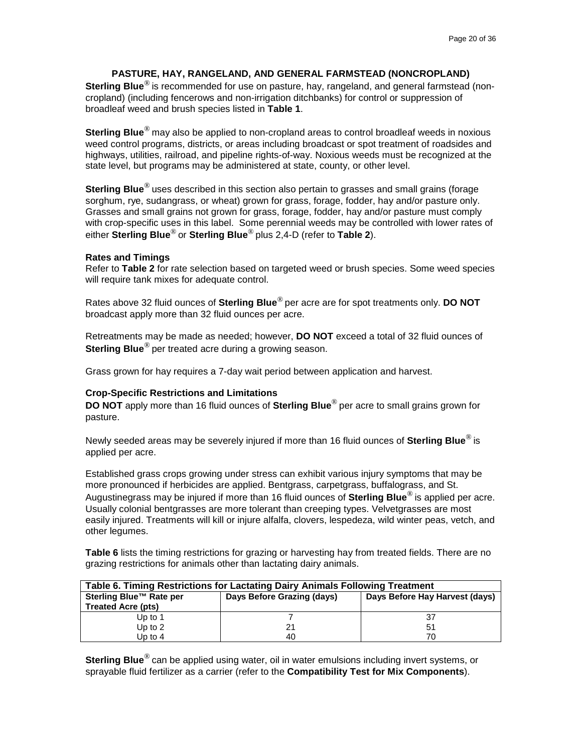# **PASTURE, HAY, RANGELAND, AND GENERAL FARMSTEAD (NONCROPLAND)**

**Sterling Blue**® is recommended for use on pasture, hay, rangeland, and general farmstead (noncropland) (including fencerows and non-irrigation ditchbanks) for control or suppression of broadleaf weed and brush species listed in **Table 1**.

**Sterling Blue**® may also be applied to non-cropland areas to control broadleaf weeds in noxious weed control programs, districts, or areas including broadcast or spot treatment of roadsides and highways, utilities, railroad, and pipeline rights-of-way. Noxious weeds must be recognized at the state level, but programs may be administered at state, county, or other level.

**Sterling Blue**® uses described in this section also pertain to grasses and small grains (forage sorghum, rye, sudangrass, or wheat) grown for grass, forage, fodder, hay and/or pasture only. Grasses and small grains not grown for grass, forage, fodder, hay and/or pasture must comply with crop-specific uses in this label. Some perennial weeds may be controlled with lower rates of either **Sterling Blue**® or **Sterling Blue**® plus 2,4-D (refer to **Table 2**).

### **Rates and Timings**

Refer to **Table 2** for rate selection based on targeted weed or brush species. Some weed species will require tank mixes for adequate control.

Rates above 32 fluid ounces of **Sterling Blue**® per acre are for spot treatments only. **DO NOT**  broadcast apply more than 32 fluid ounces per acre.

Retreatments may be made as needed; however, **DO NOT** exceed a total of 32 fluid ounces of **Sterling Blue**<sup>®</sup> per treated acre during a growing season.

Grass grown for hay requires a 7-day wait period between application and harvest.

### **Crop-Specific Restrictions and Limitations**

**DO NOT** apply more than 16 fluid ounces of **Sterling Blue**® per acre to small grains grown for pasture.

Newly seeded areas may be severely injured if more than 16 fluid ounces of **Sterling Blue**® is applied per acre.

Established grass crops growing under stress can exhibit various injury symptoms that may be more pronounced if herbicides are applied. Bentgrass, carpetgrass, buffalograss, and St. Augustinegrass may be injured if more than 16 fluid ounces of **Sterling Blue**® is applied per acre. Usually colonial bentgrasses are more tolerant than creeping types. Velvetgrasses are most easily injured. Treatments will kill or injure alfalfa, clovers, lespedeza, wild winter peas, vetch, and other legumes.

**Table 6** lists the timing restrictions for grazing or harvesting hay from treated fields. There are no grazing restrictions for animals other than lactating dairy animals.

| Table 6. Timing Restrictions for Lactating Dairy Animals Following Treatment |                            |                                |  |
|------------------------------------------------------------------------------|----------------------------|--------------------------------|--|
| Sterling Blue™ Rate per                                                      | Days Before Grazing (days) | Days Before Hay Harvest (days) |  |
| <b>Treated Acre (pts)</b>                                                    |                            |                                |  |
| Up to $1$                                                                    |                            | 37                             |  |
| Up to $2$                                                                    | 21                         | 51                             |  |
| Up to $4$                                                                    | 40                         | 70                             |  |

**Sterling Blue**® can be applied using water, oil in water emulsions including invert systems, or sprayable fluid fertilizer as a carrier (refer to the **Compatibility Test for Mix Components**).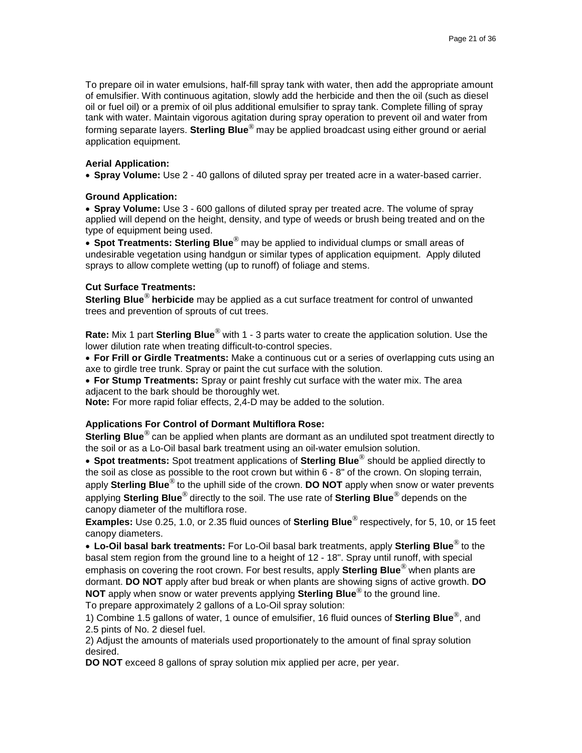To prepare oil in water emulsions, half-fill spray tank with water, then add the appropriate amount of emulsifier. With continuous agitation, slowly add the herbicide and then the oil (such as diesel oil or fuel oil) or a premix of oil plus additional emulsifier to spray tank. Complete filling of spray tank with water. Maintain vigorous agitation during spray operation to prevent oil and water from forming separate layers. **Sterling Blue**® may be applied broadcast using either ground or aerial application equipment.

### **Aerial Application:**

• **Spray Volume:** Use 2 - 40 gallons of diluted spray per treated acre in a water-based carrier.

### **Ground Application:**

• **Spray Volume:** Use 3 - 600 gallons of diluted spray per treated acre. The volume of spray applied will depend on the height, density, and type of weeds or brush being treated and on the type of equipment being used.

• **Spot Treatments: Sterling Blue**® may be applied to individual clumps or small areas of undesirable vegetation using handgun or similar types of application equipment. Apply diluted sprays to allow complete wetting (up to runoff) of foliage and stems.

### **Cut Surface Treatments:**

**Sterling Blue**® **herbicide** may be applied as a cut surface treatment for control of unwanted trees and prevention of sprouts of cut trees.

**Rate:** Mix 1 part **Sterling Blue**® with 1 - 3 parts water to create the application solution. Use the lower dilution rate when treating difficult-to-control species.

• **For Frill or Girdle Treatments:** Make a continuous cut or a series of overlapping cuts using an axe to girdle tree trunk. Spray or paint the cut surface with the solution.

• **For Stump Treatments:** Spray or paint freshly cut surface with the water mix. The area adjacent to the bark should be thoroughly wet.

**Note:** For more rapid foliar effects, 2,4-D may be added to the solution.

# **Applications For Control of Dormant Multiflora Rose:**

**Sterling Blue**® can be applied when plants are dormant as an undiluted spot treatment directly to the soil or as a Lo-Oil basal bark treatment using an oil-water emulsion solution.

• **Spot treatments:** Spot treatment applications of **Sterling Blue**® should be applied directly to the soil as close as possible to the root crown but within 6 - 8" of the crown. On sloping terrain, apply **Sterling Blue**® to the uphill side of the crown. **DO NOT** apply when snow or water prevents applying **Sterling Blue**® directly to the soil. The use rate of **Sterling Blue**® depends on the canopy diameter of the multiflora rose.

**Examples:** Use 0.25, 1.0, or 2.35 fluid ounces of **Sterling Blue**® respectively, for 5, 10, or 15 feet canopy diameters.

• **Lo-Oil basal bark treatments:** For Lo-Oil basal bark treatments, apply **Sterling Blue**® to the basal stem region from the ground line to a height of 12 - 18". Spray until runoff, with special emphasis on covering the root crown. For best results, apply **Sterling Blue**® when plants are dormant. **DO NOT** apply after bud break or when plants are showing signs of active growth. **DO NOT** apply when snow or water prevents applying **Sterling Blue**® to the ground line. To prepare approximately 2 gallons of a Lo-Oil spray solution:

1) Combine 1.5 gallons of water, 1 ounce of emulsifier, 16 fluid ounces of **Sterling Blue**®, and 2.5 pints of No. 2 diesel fuel.

2) Adjust the amounts of materials used proportionately to the amount of final spray solution desired.

**DO NOT** exceed 8 gallons of spray solution mix applied per acre, per year.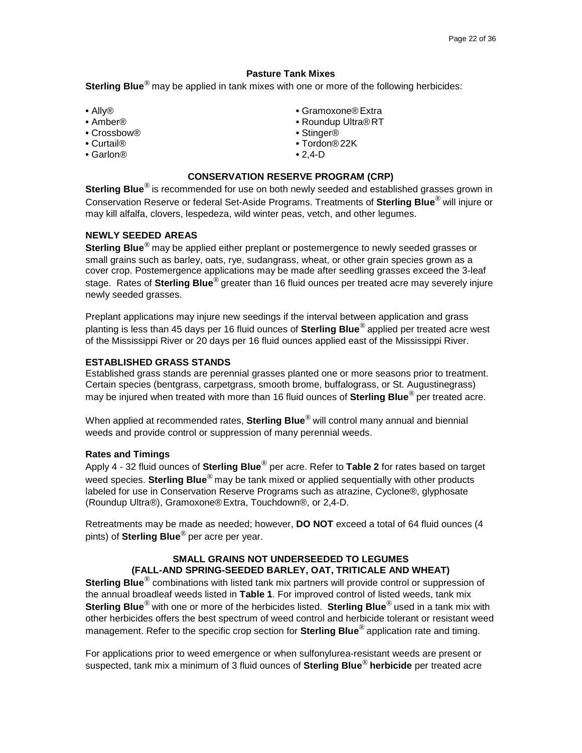### **Pasture Tank Mixes**

**Sterling Blue**® may be applied in tank mixes with one or more of the following herbicides:

- 
- 
- Crossbow®<br>● Curtail®
- 
- Garlon® 2,4-D
- Ally® Gramoxone®Extra
- Amber® Roundup Ultra®RT
	-
	- Curtail® Tordon®22K
	-

# **CONSERVATION RESERVE PROGRAM (CRP)**

**Sterling Blue**® is recommended for use on both newly seeded and established grasses grown in Conservation Reserve or federal Set-Aside Programs. Treatments of **Sterling Blue**® will injure or may kill alfalfa, clovers, lespedeza, wild winter peas, vetch, and other legumes.

# **NEWLY SEEDED AREAS**

**Sterling Blue**® may be applied either preplant or postemergence to newly seeded grasses or small grains such as barley, oats, rye, sudangrass, wheat, or other grain species grown as a cover crop. Postemergence applications may be made after seedling grasses exceed the 3-leaf stage. Rates of **Sterling Blue**® greater than 16 fluid ounces per treated acre may severely injure newly seeded grasses.

Preplant applications may injure new seedings if the interval between application and grass planting is less than 45 days per 16 fluid ounces of **Sterling Blue**® applied per treated acre west of the Mississippi River or 20 days per 16 fluid ounces applied east of the Mississippi River.

## **ESTABLISHED GRASS STANDS**

Established grass stands are perennial grasses planted one or more seasons prior to treatment. Certain species (bentgrass, carpetgrass, smooth brome, buffalograss, or St. Augustinegrass) may be injured when treated with more than 16 fluid ounces of **Sterling Blue**® per treated acre.

When applied at recommended rates, **Sterling Blue**® will control many annual and biennial weeds and provide control or suppression of many perennial weeds.

### **Rates and Timings**

Apply 4 - 32 fluid ounces of **Sterling Blue**® per acre. Refer to **Table 2** for rates based on target weed species. **Sterling Blue**® may be tank mixed or applied sequentially with other products labeled for use in Conservation Reserve Programs such as atrazine, Cyclone®, glyphosate (Roundup Ultra®), Gramoxone® Extra, Touchdown®, or 2,4-D.

Retreatments may be made as needed; however, **DO NOT** exceed a total of 64 fluid ounces (4 pints) of **Sterling Blue**® per acre per year.

### **SMALL GRAINS NOT UNDERSEEDED TO LEGUMES (FALL-AND SPRING-SEEDED BARLEY, OAT, TRITICALE AND WHEAT)**

**Sterling Blue**® combinations with listed tank mix partners will provide control or suppression of the annual broadleaf weeds listed in **Table 1**. For improved control of listed weeds, tank mix **Sterling Blue**® with one or more of the herbicides listed. **Sterling Blue**® used in a tank mix with other herbicides offers the best spectrum of weed control and herbicide tolerant or resistant weed management. Refer to the specific crop section for **Sterling Blue**® application rate and timing.

For applications prior to weed emergence or when sulfonylurea-resistant weeds are present or suspected, tank mix a minimum of 3 fluid ounces of **Sterling Blue**® **herbicide** per treated acre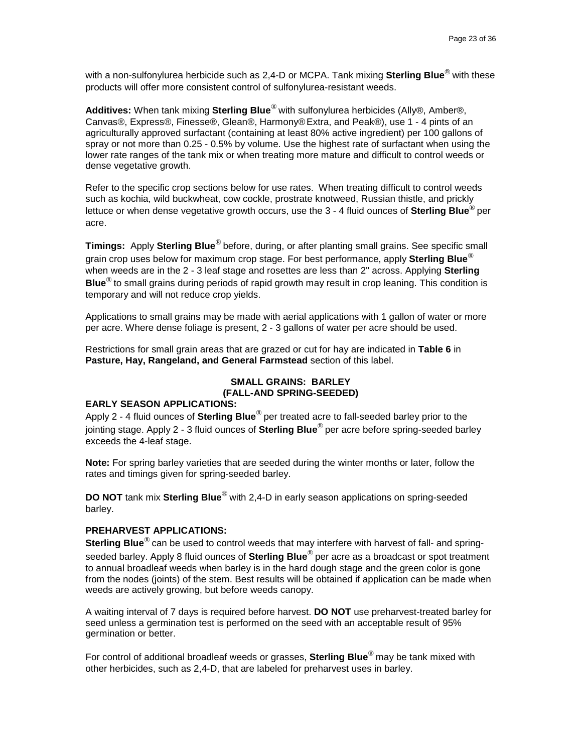with a non-sulfonylurea herbicide such as 2,4-D or MCPA. Tank mixing **Sterling Blue**® with these products will offer more consistent control of sulfonylurea-resistant weeds.

**Additives:** When tank mixing **Sterling Blue**® with sulfonylurea herbicides (Ally®, Amber®, Canvas®, Express®, Finesse®, Glean®, Harmony®Extra, and Peak®), use 1 - 4 pints of an agriculturally approved surfactant (containing at least 80% active ingredient) per 100 gallons of spray or not more than 0.25 - 0.5% by volume. Use the highest rate of surfactant when using the lower rate ranges of the tank mix or when treating more mature and difficult to control weeds or dense vegetative growth.

Refer to the specific crop sections below for use rates. When treating difficult to control weeds such as kochia, wild buckwheat, cow cockle, prostrate knotweed, Russian thistle, and prickly lettuce or when dense vegetative growth occurs, use the 3 - 4 fluid ounces of **Sterling Blue**® per acre.

**Timings:** Apply **Sterling Blue**® before, during, or after planting small grains. See specific small grain crop uses below for maximum crop stage. For best performance, apply **Sterling Blue**® when weeds are in the 2 - 3 leaf stage and rosettes are less than 2" across. Applying **Sterling Blue**® to small grains during periods of rapid growth may result in crop leaning. This condition is temporary and will not reduce crop yields.

Applications to small grains may be made with aerial applications with 1 gallon of water or more per acre. Where dense foliage is present, 2 - 3 gallons of water per acre should be used.

Restrictions for small grain areas that are grazed or cut for hay are indicated in **Table 6** in **Pasture, Hay, Rangeland, and General Farmstead** section of this label.

# **SMALL GRAINS: BARLEY (FALL-AND SPRING-SEEDED)**

### **EARLY SEASON APPLICATIONS:**

Apply 2 - 4 fluid ounces of **Sterling Blue**® per treated acre to fall-seeded barley prior to the jointing stage. Apply 2 - 3 fluid ounces of **Sterling Blue**® per acre before spring-seeded barley exceeds the 4-leaf stage.

**Note:** For spring barley varieties that are seeded during the winter months or later, follow the rates and timings given for spring-seeded barley.

**DO NOT** tank mix **Sterling Blue**® with 2,4-D in early season applications on spring-seeded barley.

# **PREHARVEST APPLICATIONS:**

**Sterling Blue**® can be used to control weeds that may interfere with harvest of fall- and springseeded barley. Apply 8 fluid ounces of **Sterling Blue**® per acre as a broadcast or spot treatment to annual broadleaf weeds when barley is in the hard dough stage and the green color is gone from the nodes (joints) of the stem. Best results will be obtained if application can be made when weeds are actively growing, but before weeds canopy.

A waiting interval of 7 days is required before harvest. **DO NOT** use preharvest-treated barley for seed unless a germination test is performed on the seed with an acceptable result of 95% germination or better.

For control of additional broadleaf weeds or grasses, **Sterling Blue**® may be tank mixed with other herbicides, such as 2,4-D, that are labeled for preharvest uses in barley.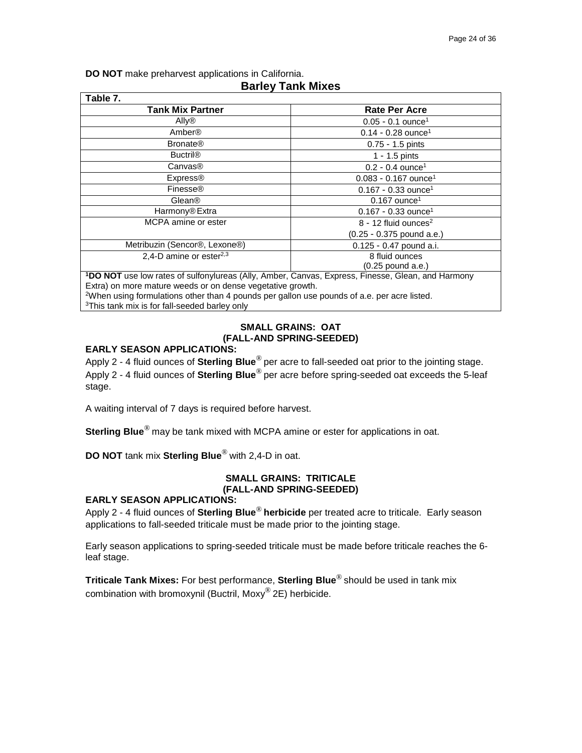**DO NOT** make preharvest applications in California.

| Table 7.                                                                                          |                                    |  |
|---------------------------------------------------------------------------------------------------|------------------------------------|--|
| <b>Tank Mix Partner</b>                                                                           | <b>Rate Per Acre</b>               |  |
| Ally®                                                                                             | $0.05 - 0.1$ ounce <sup>1</sup>    |  |
| Amber®                                                                                            | $0.14 - 0.28$ ounce <sup>1</sup>   |  |
| <b>Bronate<sup>®</sup></b>                                                                        | $0.75 - 1.5$ pints                 |  |
| <b>Buctril®</b>                                                                                   | $1 - 1.5$ pints                    |  |
| Canvas <sup>®</sup>                                                                               | $0.2 - 0.4$ ounce <sup>1</sup>     |  |
| <b>Express®</b>                                                                                   | $0.083 - 0.167$ ounce <sup>1</sup> |  |
| Finesse®                                                                                          | $0.167 - 0.33$ ounce <sup>1</sup>  |  |
| Glean <sup>®</sup>                                                                                | $0.167$ ounce <sup>1</sup>         |  |
| Harmony <sup>®</sup> Extra                                                                        | $0.167 - 0.33$ ounce <sup>1</sup>  |  |
| MCPA amine or ester                                                                               | $8 - 12$ fluid ounces <sup>2</sup> |  |
|                                                                                                   | $(0.25 - 0.375$ pound a.e.)        |  |
| Metribuzin (Sencor <sup>®</sup> , Lexone <sup>®</sup> )                                           | 0.125 - 0.47 pound a.i.            |  |
| 2,4-D amine or ester <sup>2,3</sup>                                                               | 8 fluid ounces                     |  |
|                                                                                                   | $(0.25$ pound a.e.)                |  |
| 1DO NOT use low rates of sulfonylureas (Ally, Amber, Canvas, Express, Finesse, Glean, and Harmony |                                    |  |
| Extra) on more mature weeds or on dense vegetative growth.                                        |                                    |  |

# **Barley Tank Mixes**

Extra) on more mature weeds or on dense vegetative growth.  $^{2}$ When using formulations other than 4 pounds per gallon use pounds of a.e. per acre listed.

<sup>3</sup>This tank mix is for fall-seeded barley only

# **SMALL GRAINS: OAT (FALL-AND SPRING-SEEDED)**

# **EARLY SEASON APPLICATIONS:**

Apply 2 - 4 fluid ounces of **Sterling Blue**® per acre to fall-seeded oat prior to the jointing stage. Apply 2 - 4 fluid ounces of **Sterling Blue**® per acre before spring-seeded oat exceeds the 5-leaf stage.

A waiting interval of 7 days is required before harvest.

**Sterling Blue**® may be tank mixed with MCPA amine or ester for applications in oat.

**DO NOT** tank mix **Sterling Blue**® with 2,4-D in oat.

# **SMALL GRAINS: TRITICALE (FALL-AND SPRING-SEEDED)**

# **EARLY SEASON APPLICATIONS:**

Apply 2 - 4 fluid ounces of **Sterling Blue**® **herbicide** per treated acre to triticale. Early season applications to fall-seeded triticale must be made prior to the jointing stage.

Early season applications to spring-seeded triticale must be made before triticale reaches the 6 leaf stage.

**Triticale Tank Mixes:** For best performance, **Sterling Blue**® should be used in tank mix combination with bromoxynil (Buctril, Moxy® 2E) herbicide.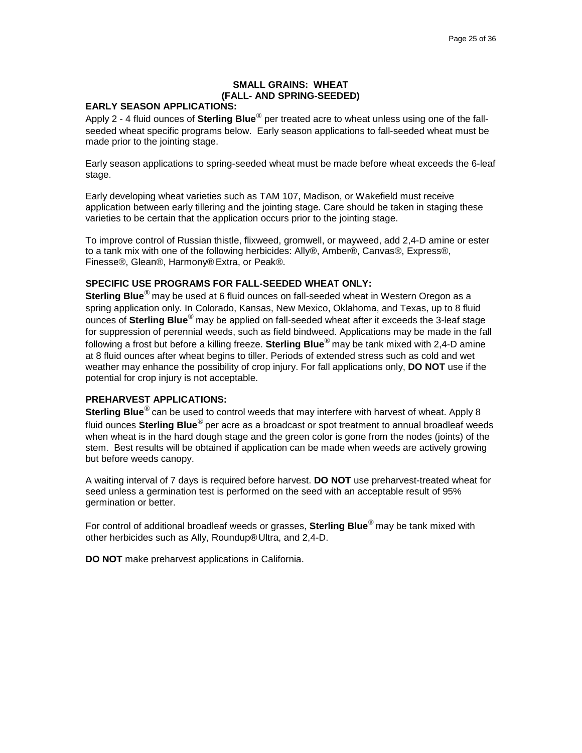### **SMALL GRAINS: WHEAT (FALL- AND SPRING-SEEDED)**

### **EARLY SEASON APPLICATIONS:**

Apply 2 - 4 fluid ounces of **Sterling Blue**® per treated acre to wheat unless using one of the fallseeded wheat specific programs below. Early season applications to fall-seeded wheat must be made prior to the jointing stage.

Early season applications to spring-seeded wheat must be made before wheat exceeds the 6-leaf stage.

Early developing wheat varieties such as TAM 107, Madison, or Wakefield must receive application between early tillering and the jointing stage. Care should be taken in staging these varieties to be certain that the application occurs prior to the jointing stage.

To improve control of Russian thistle, flixweed, gromwell, or mayweed, add 2,4-D amine or ester to a tank mix with one of the following herbicides: Ally®, Amber®, Canvas®, Express®, Finesse®, Glean®, Harmony® Extra, or Peak®.

### **SPECIFIC USE PROGRAMS FOR FALL-SEEDED WHEAT ONLY:**

**Sterling Blue**® may be used at 6 fluid ounces on fall-seeded wheat in Western Oregon as a spring application only. In Colorado, Kansas, New Mexico, Oklahoma, and Texas, up to 8 fluid ounces of **Sterling Blue**® may be applied on fall-seeded wheat after it exceeds the 3-leaf stage for suppression of perennial weeds, such as field bindweed. Applications may be made in the fall following a frost but before a killing freeze. **Sterling Blue**® may be tank mixed with 2,4-D amine at 8 fluid ounces after wheat begins to tiller. Periods of extended stress such as cold and wet weather may enhance the possibility of crop injury. For fall applications only, **DO NOT** use if the potential for crop injury is not acceptable.

### **PREHARVEST APPLICATIONS:**

**Sterling Blue**® can be used to control weeds that may interfere with harvest of wheat. Apply 8 fluid ounces **Sterling Blue**® per acre as a broadcast or spot treatment to annual broadleaf weeds when wheat is in the hard dough stage and the green color is gone from the nodes (joints) of the stem. Best results will be obtained if application can be made when weeds are actively growing but before weeds canopy.

A waiting interval of 7 days is required before harvest. **DO NOT** use preharvest-treated wheat for seed unless a germination test is performed on the seed with an acceptable result of 95% germination or better.

For control of additional broadleaf weeds or grasses, **Sterling Blue**® may be tank mixed with other herbicides such as Ally, Roundup®Ultra, and 2,4-D.

**DO NOT** make preharvest applications in California.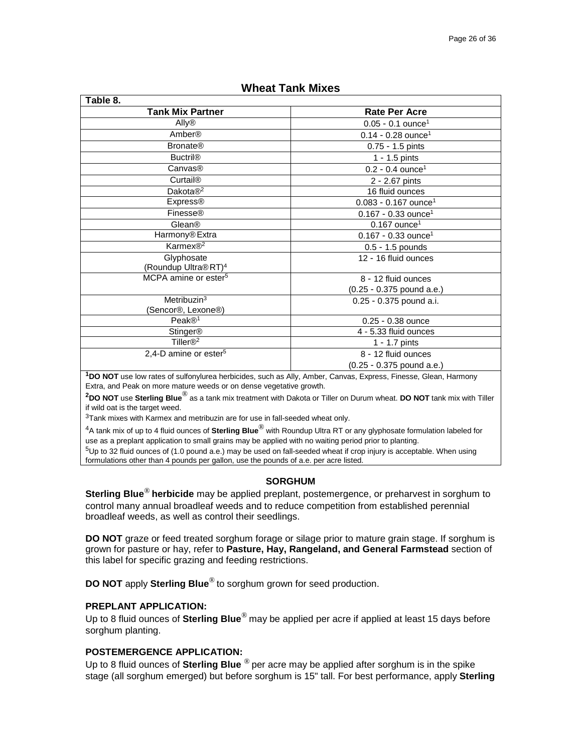| Table 8.                                      |                                    |  |
|-----------------------------------------------|------------------------------------|--|
| <b>Tank Mix Partner</b>                       | <b>Rate Per Acre</b>               |  |
| Ally®                                         | $0.05 - 0.1$ ounce <sup>1</sup>    |  |
| Amber®                                        | $0.14 - 0.28$ ounce <sup>1</sup>   |  |
| <b>Bronate®</b>                               | 0.75 - 1.5 pints                   |  |
| <b>Buctril®</b>                               | $1 - 1.5$ pints                    |  |
| Canvas <sup>®</sup>                           | $0.2 - 0.4$ ounce <sup>1</sup>     |  |
| <b>Curtail®</b>                               | 2 - 2.67 pints                     |  |
| Dakota $\mathbb{R}^2$                         | 16 fluid ounces                    |  |
| <b>Express®</b>                               | $0.083 - 0.167$ ounce <sup>1</sup> |  |
| Finesse®                                      | $0.167 - 0.33$ ounce <sup>1</sup>  |  |
| Glean <sup>®</sup>                            | $0.167$ ounce <sup>1</sup>         |  |
| Harmony® Extra                                | $0.167 - 0.33$ ounce <sup>1</sup>  |  |
| Karmex® <sup>2</sup>                          | 0.5 - 1.5 pounds                   |  |
| Glyphosate<br>(Roundup Ultra®RT) <sup>4</sup> | 12 - 16 fluid ounces               |  |
| MCPA amine or ester <sup>5</sup>              | 8 - 12 fluid ounces                |  |
|                                               | (0.25 - 0.375 pound a.e.)          |  |
| Metribuzin <sup>3</sup>                       | 0.25 - 0.375 pound a.i.            |  |
| (Sencor <sup>®</sup> , Lexone <sup>®</sup> )  |                                    |  |
| Peak@ <sup>1</sup>                            | 0.25 - 0.38 ounce                  |  |
| Stinger®                                      | 4 - 5.33 fluid ounces              |  |
| Tiller $\mathbb{R}^2$                         | 1 - 1.7 pints                      |  |
| 2,4-D amine or ester <sup>5</sup>             | 8 - 12 fluid ounces                |  |
|                                               | (0.25 - 0.375 pound a.e.)          |  |

# **Wheat Tank Mixes**

**1DO NOT** use low rates of sulfonylurea herbicides, such as Ally, Amber, Canvas, Express, Finesse, Glean, Harmony Extra, and Peak on more mature weeds or on dense vegetative growth.

**2DO NOT** use **Sterling Blue**® as a tank mix treatment with Dakota or Tiller on Durum wheat. **DO NOT** tank mix with Tiller if wild oat is the target weed.

 $3$ Tank mixes with Karmex and metribuzin are for use in fall-seeded wheat only.

4A tank mix of up to 4 fluid ounces of **Sterling Blue**® with Roundup Ultra RT or any glyphosate formulation labeled for use as a preplant application to small grains may be applied with no waiting period prior to planting.

5Up to 32 fluid ounces of (1.0 pound a.e.) may be used on fall-seeded wheat if crop injury is acceptable. When using formulations other than 4 pounds per gallon, use the pounds of a.e. per acre listed.

### **SORGHUM**

**Sterling Blue**® **herbicide** may be applied preplant, postemergence, or preharvest in sorghum to control many annual broadleaf weeds and to reduce competition from established perennial broadleaf weeds, as well as control their seedlings.

**DO NOT** graze or feed treated sorghum forage or silage prior to mature grain stage. If sorghum is grown for pasture or hay, refer to **Pasture, Hay, Rangeland, and General Farmstead** section of this label for specific grazing and feeding restrictions.

**DO NOT** apply **Sterling Blue**® to sorghum grown for seed production.

### **PREPLANT APPLICATION:**

Up to 8 fluid ounces of **Sterling Blue**® may be applied per acre if applied at least 15 days before sorghum planting.

# **POSTEMERGENCE APPLICATION:**

Up to 8 fluid ounces of **Sterling Blue** ® per acre may be applied after sorghum is in the spike stage (all sorghum emerged) but before sorghum is 15" tall. For best performance, apply **Sterling**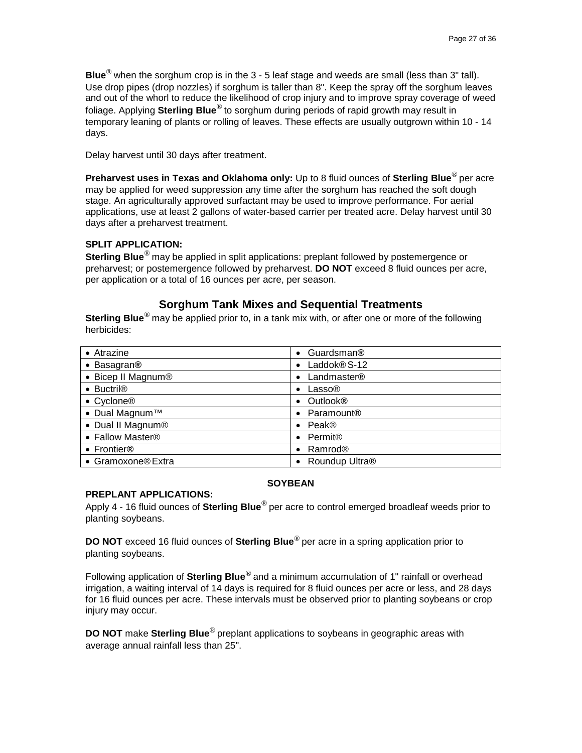**Blue**® when the sorghum crop is in the 3 - 5 leaf stage and weeds are small (less than 3" tall). Use drop pipes (drop nozzles) if sorghum is taller than 8". Keep the spray off the sorghum leaves and out of the whorl to reduce the likelihood of crop injury and to improve spray coverage of weed foliage. Applying **Sterling Blue**® to sorghum during periods of rapid growth may result in temporary leaning of plants or rolling of leaves. These effects are usually outgrown within 10 - 14 days.

Delay harvest until 30 days after treatment.

**Preharvest uses in Texas and Oklahoma only:** Up to 8 fluid ounces of **Sterling Blue**® per acre may be applied for weed suppression any time after the sorghum has reached the soft dough stage. An agriculturally approved surfactant may be used to improve performance. For aerial applications, use at least 2 gallons of water-based carrier per treated acre. Delay harvest until 30 days after a preharvest treatment.

# **SPLIT APPLICATION:**

**Sterling Blue**® may be applied in split applications: preplant followed by postemergence or preharvest; or postemergence followed by preharvest. **DO NOT** exceed 8 fluid ounces per acre, per application or a total of 16 ounces per acre, per season.

# **Sorghum Tank Mixes and Sequential Treatments**

**Sterling Blue**® may be applied prior to, in a tank mix with, or after one or more of the following herbicides:

| • Atrazine                          | Guardsman®<br>$\bullet$ |
|-------------------------------------|-------------------------|
| • Basagran®                         | Laddok® S-12            |
| • Bicep II Magnum®                  | Landmaster <sup>®</sup> |
| $\bullet$ Buctril <sup>®</sup>      | Lasso®                  |
| • Cyclone®                          | <b>Outlook®</b>         |
| $\bullet$ Dual Magnum <sup>TM</sup> | Paramount <sup>®</sup>  |
| • Dual II Magnum®                   | Peak®                   |
| • Fallow Master®                    | Permit <sup>®</sup>     |
| • Frontier®                         | Ramrod <sup>®</sup>     |
| • Gramoxone® Extra                  | Roundup Ultra®          |

# **SOYBEAN**

### **PREPLANT APPLICATIONS:**

Apply 4 - 16 fluid ounces of **Sterling Blue**® per acre to control emerged broadleaf weeds prior to planting soybeans.

**DO NOT** exceed 16 fluid ounces of **Sterling Blue**® per acre in a spring application prior to planting soybeans.

Following application of **Sterling Blue**® and a minimum accumulation of 1" rainfall or overhead irrigation, a waiting interval of 14 days is required for 8 fluid ounces per acre or less, and 28 days for 16 fluid ounces per acre. These intervals must be observed prior to planting soybeans or crop injury may occur.

**DO NOT** make **Sterling Blue**® preplant applications to soybeans in geographic areas with average annual rainfall less than 25".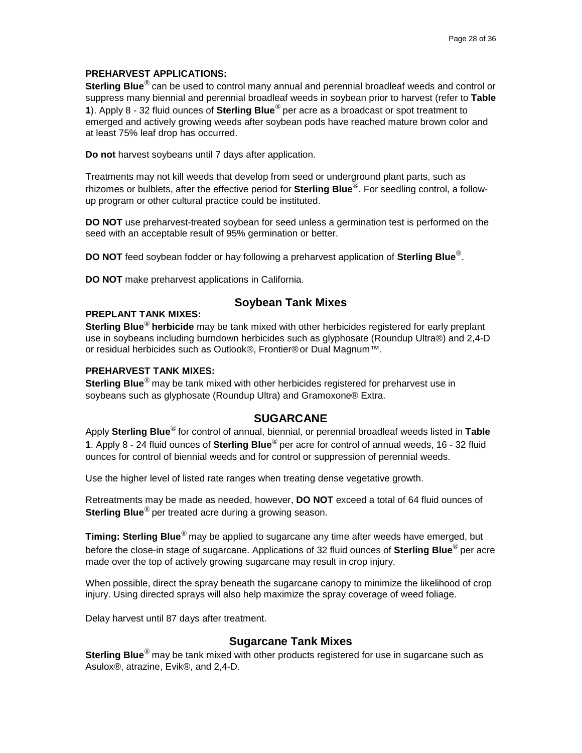# **PREHARVEST APPLICATIONS:**

**Sterling Blue**® can be used to control many annual and perennial broadleaf weeds and control or suppress many biennial and perennial broadleaf weeds in soybean prior to harvest (refer to **Table 1**). Apply 8 - 32 fluid ounces of **Sterling Blue**® per acre as a broadcast or spot treatment to emerged and actively growing weeds after soybean pods have reached mature brown color and at least 75% leaf drop has occurred.

**Do not** harvest soybeans until 7 days after application.

Treatments may not kill weeds that develop from seed or underground plant parts, such as rhizomes or bulblets, after the effective period for **Sterling Blue**®. For seedling control, a followup program or other cultural practice could be instituted.

**DO NOT** use preharvest-treated soybean for seed unless a germination test is performed on the seed with an acceptable result of 95% germination or better.

**DO NOT** feed soybean fodder or hay following a preharvest application of **Sterling Blue**®.

**DO NOT** make preharvest applications in California.

# **Soybean Tank Mixes**

# **PREPLANT TANK MIXES:**

**Sterling Blue**® **herbicide** may be tank mixed with other herbicides registered for early preplant use in soybeans including burndown herbicides such as glyphosate (Roundup Ultra®) and 2,4-D or residual herbicides such as Outlook®, Frontier® or Dual Magnum™.

# **PREHARVEST TANK MIXES:**

**Sterling Blue**® may be tank mixed with other herbicides registered for preharvest use in soybeans such as glyphosate (Roundup Ultra) and Gramoxone® Extra.

# **SUGARCANE**

Apply **Sterling Blue**® for control of annual, biennial, or perennial broadleaf weeds listed in **Table 1**. Apply 8 - 24 fluid ounces of **Sterling Blue**® per acre for control of annual weeds, 16 - 32 fluid ounces for control of biennial weeds and for control or suppression of perennial weeds.

Use the higher level of listed rate ranges when treating dense vegetative growth.

Retreatments may be made as needed, however, **DO NOT** exceed a total of 64 fluid ounces of **Sterling Blue**® per treated acre during a growing season.

**Timing: Sterling Blue**® may be applied to sugarcane any time after weeds have emerged, but before the close-in stage of sugarcane. Applications of 32 fluid ounces of **Sterling Blue**® per acre made over the top of actively growing sugarcane may result in crop injury.

When possible, direct the spray beneath the sugarcane canopy to minimize the likelihood of crop injury. Using directed sprays will also help maximize the spray coverage of weed foliage.

Delay harvest until 87 days after treatment.

# **Sugarcane Tank Mixes**

**Sterling Blue**® may be tank mixed with other products registered for use in sugarcane such as Asulox®, atrazine, Evik®, and 2,4-D.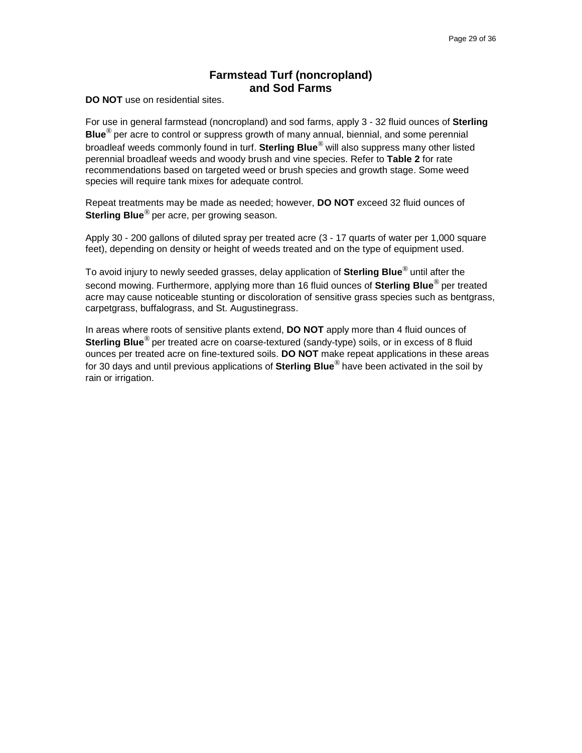# **Farmstead Turf (noncropland) and Sod Farms**

**DO NOT** use on residential sites.

For use in general farmstead (noncropland) and sod farms, apply 3 - 32 fluid ounces of **Sterling Blue**® per acre to control or suppress growth of many annual, biennial, and some perennial broadleaf weeds commonly found in turf. **Sterling Blue**® will also suppress many other listed perennial broadleaf weeds and woody brush and vine species. Refer to **Table 2** for rate recommendations based on targeted weed or brush species and growth stage. Some weed species will require tank mixes for adequate control.

Repeat treatments may be made as needed; however, **DO NOT** exceed 32 fluid ounces of **Sterling Blue**® per acre, per growing season.

Apply 30 - 200 gallons of diluted spray per treated acre (3 - 17 quarts of water per 1,000 square feet), depending on density or height of weeds treated and on the type of equipment used.

To avoid injury to newly seeded grasses, delay application of **Sterling Blue**® until after the second mowing. Furthermore, applying more than 16 fluid ounces of **Sterling Blue**® per treated acre may cause noticeable stunting or discoloration of sensitive grass species such as bentgrass, carpetgrass, buffalograss, and St. Augustinegrass.

In areas where roots of sensitive plants extend, **DO NOT** apply more than 4 fluid ounces of **Sterling Blue**® per treated acre on coarse-textured (sandy-type) soils, or in excess of 8 fluid ounces per treated acre on fine-textured soils. **DO NOT** make repeat applications in these areas for 30 days and until previous applications of **Sterling Blue**® have been activated in the soil by rain or irrigation.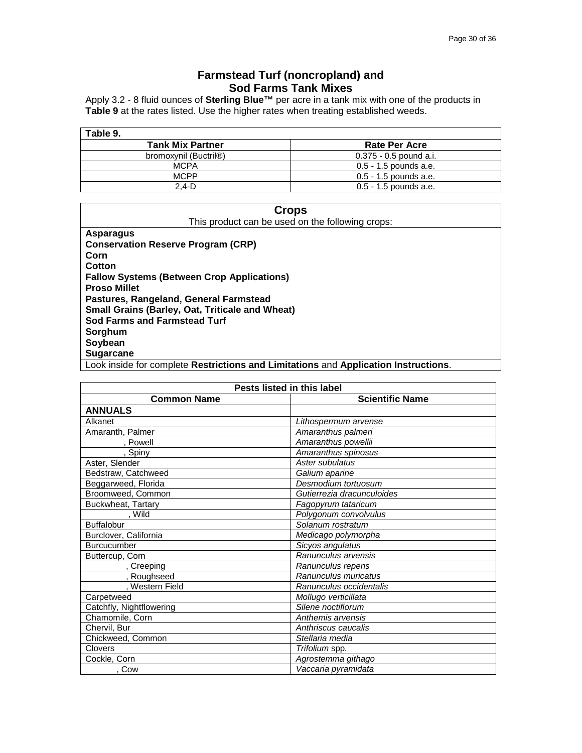# **Farmstead Turf (noncropland) and Sod Farms Tank Mixes**

Apply 3.2 - 8 fluid ounces of **Sterling Blue™** per acre in a tank mix with one of the products in **Table 9** at the rates listed. Use the higher rates when treating established weeds.

| Table 9.                |                          |
|-------------------------|--------------------------|
| <b>Tank Mix Partner</b> | <b>Rate Per Acre</b>     |
| bromoxynil (Buctril®)   | $0.375 - 0.5$ pound a.i. |
| <b>MCPA</b>             | $0.5 - 1.5$ pounds a.e.  |
| <b>MCPP</b>             | $0.5 - 1.5$ pounds a.e.  |
| 2.4-D                   | $0.5 - 1.5$ pounds a.e.  |

| <b>Crops</b>                                                                                                                                                                                                                              |  |  |
|-------------------------------------------------------------------------------------------------------------------------------------------------------------------------------------------------------------------------------------------|--|--|
| This product can be used on the following crops:                                                                                                                                                                                          |  |  |
| <b>Asparagus</b>                                                                                                                                                                                                                          |  |  |
| <b>Conservation Reserve Program (CRP)</b>                                                                                                                                                                                                 |  |  |
| Corn                                                                                                                                                                                                                                      |  |  |
| Cotton                                                                                                                                                                                                                                    |  |  |
| <b>Fallow Systems (Between Crop Applications)</b>                                                                                                                                                                                         |  |  |
| <b>Proso Millet</b>                                                                                                                                                                                                                       |  |  |
| Pastures, Rangeland, General Farmstead                                                                                                                                                                                                    |  |  |
| <b>Small Grains (Barley, Oat, Triticale and Wheat)</b>                                                                                                                                                                                    |  |  |
| Sod Farms and Farmstead Turf                                                                                                                                                                                                              |  |  |
| Sorghum                                                                                                                                                                                                                                   |  |  |
| Soybean                                                                                                                                                                                                                                   |  |  |
| <b>Sugarcane</b>                                                                                                                                                                                                                          |  |  |
| $\mathbf{1}$ and $\mathbf{1}$ and $\mathbf{1}$ are some contracting to the second term of the second contract of the second contract of the second second second second second second second second second second second second second se |  |  |

Look inside for complete **Restrictions and Limitations** and **Application Instructions**.

| Pests listed in this label |                            |
|----------------------------|----------------------------|
| <b>Common Name</b>         | <b>Scientific Name</b>     |
| <b>ANNUALS</b>             |                            |
| Alkanet                    | Lithospermum arvense       |
| Amaranth, Palmer           | Amaranthus palmeri         |
| . Powell                   | Amaranthus powellii        |
| , Spiny                    | Amaranthus spinosus        |
| Aster, Slender             | Aster subulatus            |
| Bedstraw, Catchweed        | Galium aparine             |
| Beggarweed, Florida        | Desmodium tortuosum        |
| Broomweed, Common          | Gutierrezia dracunculoides |
| Buckwheat, Tartary         | Fagopyrum tataricum        |
| Wild                       | Polygonum convolvulus      |
| <b>Buffalobur</b>          | Solanum rostratum          |
| Burclover, California      | Medicago polymorpha        |
| Burcucumber                | Sicyos angulatus           |
| Buttercup, Corn            | Ranunculus arvensis        |
| , Creeping                 | Ranunculus repens          |
| , Roughseed                | Ranunculus muricatus       |
| , Western Field            | Ranunculus occidentalis    |
| Carpetweed                 | Mollugo verticillata       |
| Catchfly, Nightflowering   | Silene noctiflorum         |
| Chamomile, Corn            | Anthemis arvensis          |
| Chervil, Bur               | Anthriscus caucalis        |
| Chickweed, Common          | Stellaria media            |
| <b>Clovers</b>             | Trifolium spp.             |
| Cockle, Corn               | Agrostemma githago         |
| . Cow                      | Vaccaria pyramidata        |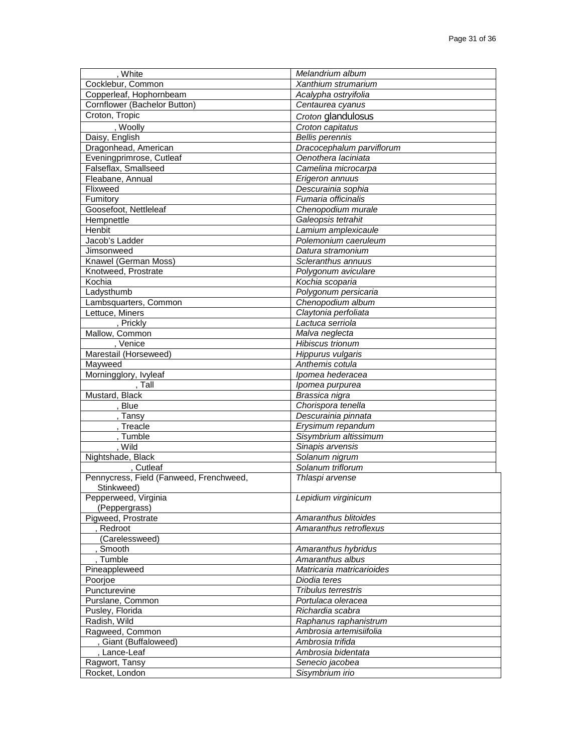| White                                    | Melandrium album                        |
|------------------------------------------|-----------------------------------------|
| Cocklebur, Common                        | Xanthium strumarium                     |
| Copperleaf, Hophornbeam                  | Acalypha ostryifolia                    |
| Cornflower (Bachelor Button)             | Centaurea cyanus                        |
| Croton, Tropic                           | Croton glandulosus                      |
| , Woolly                                 | Croton capitatus                        |
| Daisy, English                           | <b>Bellis perennis</b>                  |
| Dragonhead, American                     | Dracocephalum parviflorum               |
| Eveningprimrose, Cutleaf                 | Oenothera laciniata                     |
| Falseflax, Smallseed                     | Camelina microcarpa                     |
| Fleabane, Annual                         | Erigeron annuus                         |
| Flixweed                                 | Descurainia sophia                      |
| Fumitory                                 | Fumaria officinalis                     |
| Goosefoot, Nettleleaf                    | Chenopodium murale                      |
| Hempnettle                               | Galeopsis tetrahit                      |
| Henbit                                   | Lamium amplexicaule                     |
| Jacob's Ladder                           | Polemonium caeruleum                    |
| Jimsonweed                               | Datura stramonium                       |
| Knawel (German Moss)                     | Scleranthus annuus                      |
| Knotweed, Prostrate                      | Polygonum aviculare                     |
| Kochia                                   | Kochia scoparia                         |
| Ladysthumb                               | Polygonum persicaria                    |
| Lambsquarters, Common                    | Chenopodium album                       |
| Lettuce, Miners                          | Claytonia perfoliata                    |
| , Prickly                                | Lactuca serriola                        |
| Mallow, Common                           | Malva neglecta                          |
| , Venice                                 | Hibiscus trionum                        |
| Marestail (Horseweed)                    | Hippurus vulgaris                       |
| Mayweed                                  | Anthemis cotula                         |
| Morningglory, Ivyleaf                    | Ipomea hederacea                        |
| $T$ all                                  | Ipomea purpurea                         |
| Mustard, Black                           | Brassica nigra                          |
| , Blue                                   | Chorispora tenella                      |
| Tansy                                    | Descurainia pinnata                     |
| , Treacle                                | Erysimum repandum                       |
| , Tumble                                 | Sisymbrium altissimum                   |
| , Wild                                   | Sinapis arvensis                        |
| Nightshade, Black                        | Solanum nigrum                          |
| Cutleaf                                  | Solanum triflorum                       |
| Pennycress, Field (Fanweed, Frenchweed,  | Thlaspi arvense                         |
| Stinkweed)                               |                                         |
| Pepperweed, Virginia                     | Lepidium virginicum                     |
| (Peppergrass)                            | Amaranthus blitoides                    |
| Pigweed, Prostrate<br>Redroot            | Amaranthus retroflexus                  |
| (Carelessweed)                           |                                         |
|                                          |                                         |
| , Smooth<br>, Tumble                     | Amaranthus hybridus<br>Amaranthus albus |
| Pineappleweed                            | Matricaria matricarioides               |
| Poorjoe                                  | Diodia teres                            |
| Puncturevine                             | Tribulus terrestris                     |
| Purslane, Common                         | Portulaca oleracea                      |
| Pusley, Florida                          | Richardia scabra                        |
| Radish, Wild                             | Raphanus raphanistrum                   |
|                                          | Ambrosia artemisiifolia                 |
| Ragweed, Common<br>, Giant (Buffaloweed) | Ambrosia trifida                        |
| , Lance-Leaf                             | Ambrosia bidentata                      |
|                                          | Senecio jacobea                         |
| Ragwort, Tansy                           | Sisymbrium irio                         |
| Rocket, London                           |                                         |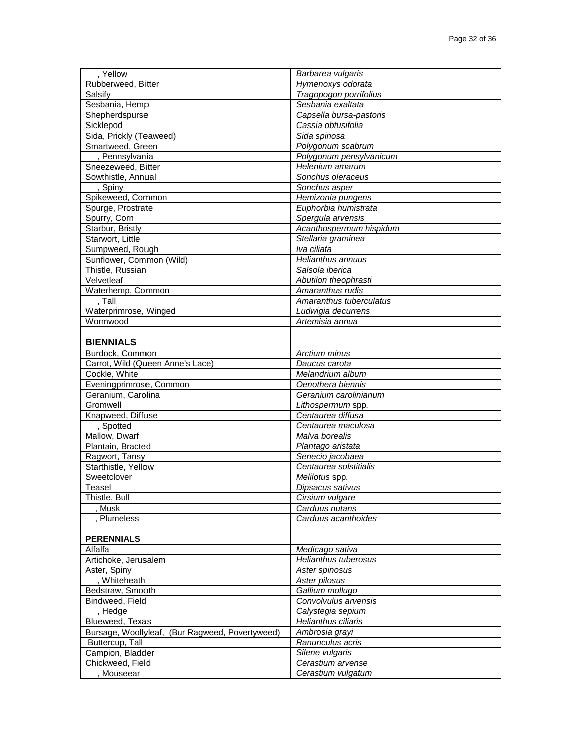| Yellow                                          | Barbarea vulgaris           |
|-------------------------------------------------|-----------------------------|
| Rubberweed, Bitter                              | Hymenoxys odorata           |
| Salsify                                         | Tragopogon porrifolius      |
| Sesbania, Hemp                                  | Sesbania exaltata           |
| Shepherdspurse                                  | Capsella bursa-pastoris     |
| Sicklepod                                       | Cassia obtusifolia          |
| Sida, Prickly (Teaweed)                         | Sida spinosa                |
| Smartweed, Green                                | Polygonum scabrum           |
| , Pennsylvania                                  | Polygonum pensylvanicum     |
| Sneezeweed, Bitter                              | Helenium amarum             |
| Sowthistle, Annual                              | Sonchus oleraceus           |
| , Spiny                                         | Sonchus asper               |
| Spikeweed, Common                               | Hemizonia pungens           |
| Spurge, Prostrate                               | Euphorbia humistrata        |
| Spurry, Corn                                    | Spergula arvensis           |
| Starbur, Bristly                                | Acanthospermum hispidum     |
| Starwort, Little                                | Stellaria graminea          |
| Sumpweed, Rough                                 | Iva ciliata                 |
| Sunflower, Common (Wild)                        | Helianthus annuus           |
| Thistle, Russian                                | Salsola iberica             |
| Velvetleaf                                      | Abutilon theophrasti        |
| Waterhemp, Common                               | Amaranthus rudis            |
| , Tall                                          | Amaranthus tuberculatus     |
| Waterprimrose, Winged                           | Ludwigia decurrens          |
| Wormwood                                        | Artemisia annua             |
|                                                 |                             |
| <b>BIENNIALS</b>                                |                             |
| Burdock, Common                                 | Arctium minus               |
| Carrot, Wild (Queen Anne's Lace)                | Daucus carota               |
| Cockle, White                                   | Melandrium album            |
| Eveningprimrose, Common                         | Oenothera biennis           |
| Geranium, Carolina                              | Geranium carolinianum       |
| Gromwell                                        | Lithospermum spp.           |
| Knapweed, Diffuse                               | Centaurea diffusa           |
| , Spotted                                       | Centaurea maculosa          |
| Mallow, Dwarf                                   | Malva borealis              |
| Plantain, Bracted                               | Plantago aristata           |
| Ragwort, Tansy                                  | Senecio jacobaea            |
| Starthistle, Yellow                             | Centaurea solstitialis      |
| Sweetclover                                     | Melilotus spp.              |
| Teasel                                          | Dipsacus sativus            |
| Thistle, Bull                                   | Cirsium vulgare             |
| , Musk                                          | Carduus nutans              |
| Plumeless                                       | Carduus acanthoides         |
|                                                 |                             |
| <b>PERENNIALS</b>                               |                             |
| Alfalfa                                         | Medicago sativa             |
| Artichoke, Jerusalem                            | <b>Helianthus tuberosus</b> |
| Aster, Spiny                                    | Aster spinosus              |
| , Whiteheath                                    | Aster pilosus               |
| Bedstraw, Smooth                                | Gallium mollugo             |
| Bindweed, Field                                 | Convolvulus arvensis        |
| , Hedge                                         | Calystegia sepium           |
| Blueweed, Texas                                 | Helianthus ciliaris         |
| Bursage, Woollyleaf, (Bur Ragweed, Povertyweed) | Ambrosia grayi              |
| Buttercup, Tall                                 | Ranunculus acris            |
| Campion, Bladder                                | Silene vulgaris             |
| Chickweed, Field                                | Cerastium arvense           |
| Mouseear                                        | Cerastium vulgatum          |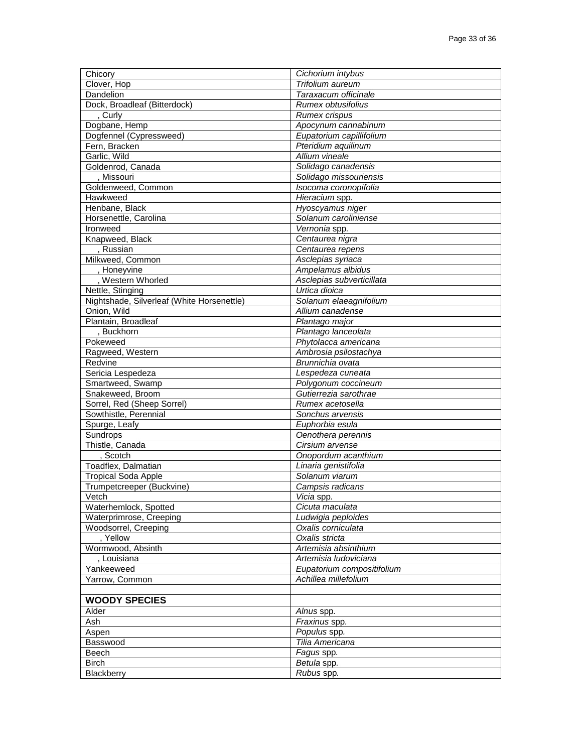| Chicory                                    | Cichorium intybus          |
|--------------------------------------------|----------------------------|
| Clover, Hop                                | Trifolium aureum           |
| Dandelion                                  | Taraxacum officinale       |
| Dock, Broadleaf (Bitterdock)               | Rumex obtusifolius         |
| , Curly                                    | <b>Rumex crispus</b>       |
| Dogbane, Hemp                              | Apocynum cannabinum        |
| Dogfennel (Cypressweed)                    | Eupatorium capillifolium   |
| Fern, Bracken                              | Pteridium aquilinum        |
| Garlic, Wild                               | Allium vineale             |
| Goldenrod, Canada                          | Solidago canadensis        |
| , Missouri                                 | Solidago missouriensis     |
| Goldenweed, Common                         | Isocoma coronopifolia      |
| Hawkweed                                   | Hieracium spp.             |
| Henbane, Black                             | Hyoscyamus niger           |
| Horsenettle, Carolina                      | Solanum caroliniense       |
| Ironweed                                   | Vernonia spp.              |
|                                            | Centaurea nigra            |
| Knapweed, Black                            |                            |
| , Russian                                  | Centaurea repens           |
| Milkweed, Common                           | Asclepias syriaca          |
| , Honeyvine                                | Ampelamus albidus          |
| , Western Whorled                          | Asclepias subverticillata  |
| Nettle, Stinging                           | Urtica dioica              |
| Nightshade, Silverleaf (White Horsenettle) | Solanum elaeagnifolium     |
| Onion, Wild                                | Allium canadense           |
| Plantain, Broadleaf                        | Plantago major             |
| , Buckhorn                                 | Plantago lanceolata        |
| Pokeweed                                   | Phytolacca americana       |
| Ragweed, Western                           | Ambrosia psilostachya      |
| Redvine                                    | Brunnichia ovata           |
| Sericia Lespedeza                          | Lespedeza cuneata          |
| Smartweed, Swamp                           | Polygonum coccineum        |
| Snakeweed, Broom                           | Gutierrezia sarothrae      |
| Sorrel, Red (Sheep Sorrel)                 | Rumex acetosella           |
| Sowthistle, Perennial                      | Sonchus arvensis           |
| Spurge, Leafy                              | Euphorbia esula            |
| Sundrops                                   | Oenothera perennis         |
| Thistle, Canada                            | Cirsium arvense            |
| , Scotch                                   | Onopordum acanthium        |
| Toadflex, Dalmatian                        | Linaria genistifolia       |
| <b>Tropical Soda Apple</b>                 | Solanum viarum             |
| Trumpetcreeper (Buckvine)                  | Campsis radicans           |
| Vetch                                      | <i>Vicia</i> spp.          |
| Waterhemlock, Spotted                      | Cicuta maculata            |
| Waterprimrose, Creeping                    | Ludwigia peploides         |
| Woodsorrel, Creeping                       | Oxalis corniculata         |
| , Yellow                                   | Oxalis stricta             |
| Wormwood, Absinth                          | Artemisia absinthium       |
| , Louisiana                                | Artemisia Iudoviciana      |
| Yankeeweed                                 | Eupatorium compositifolium |
| Yarrow, Common                             | Achillea millefolium       |
|                                            |                            |
| <b>WOODY SPECIES</b>                       |                            |
| Alder                                      | Alnus spp.                 |
| Ash                                        | Fraxinus spp.              |
| Aspen                                      | Populus spp.               |
| Basswood                                   | Tilia Americana            |
| Beech                                      | Fagus spp.                 |
| <b>Birch</b>                               | Betula spp.                |
| Blackberry                                 | Rubus spp.                 |
|                                            |                            |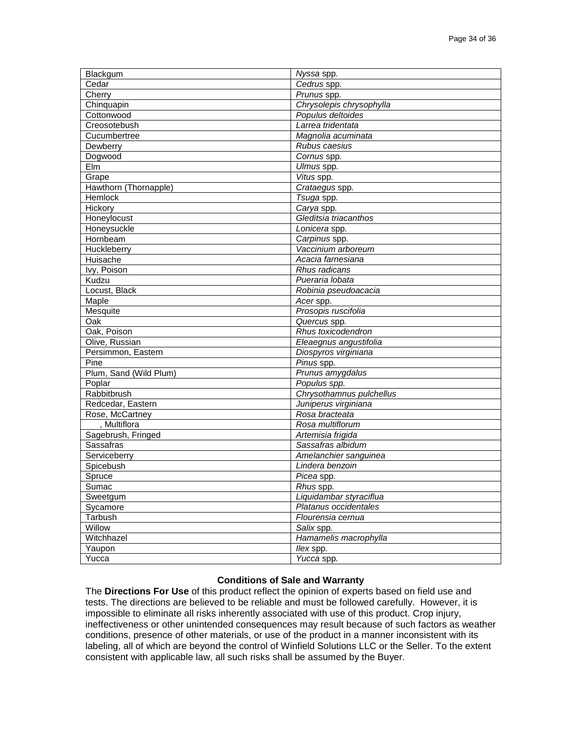| Blackgum               | Nyssa spp.               |
|------------------------|--------------------------|
| Cedar                  | Cedrus spp.              |
| Cherry                 | Prunus spp.              |
| Chinquapin             | Chrysolepis chrysophylla |
| Cottonwood             | Populus deltoides        |
| Creosotebush           | Larrea tridentata        |
| Cucumbertree           | Magnolia acuminata       |
| Dewberry               | Rubus caesius            |
| Dogwood                | Cornus spp.              |
| Elm                    | Ulmus spp.               |
| Grape                  | Vitus spp.               |
| Hawthorn (Thornapple)  | Crataegus spp.           |
| Hemlock                | Tsuga spp.               |
| Hickory                | Carya spp.               |
| Honeylocust            | Gleditsia triacanthos    |
| Honeysuckle            | Lonicera spp.            |
| Hornbeam               | Carpinus spp.            |
| Huckleberry            | Vaccinium arboreum       |
| Huisache               | Acacia farnesiana        |
| Ivy, Poison            | Rhus radicans            |
| Kudzu                  | Pueraria lobata          |
| Locust, Black          | Robinia pseudoacacia     |
| Maple                  | Acer spp.                |
| Mesquite               | Prosopis ruscifolia      |
| Oak                    | Quercus spp.             |
| Oak, Poison            | Rhus toxicodendron       |
| Olive, Russian         | Eleaegnus angustifolia   |
| Persimmon, Eastern     | Diospyros virginiana     |
| Pine                   | Pinus spp.               |
| Plum, Sand (Wild Plum) | Prunus amygdalus         |
| Poplar                 | Populus spp.             |
| Rabbitbrush            | Chrysothamnus pulchellus |
| Redcedar, Eastern      | Juniperus virginiana     |
| Rose, McCartney        | Rosa bracteata           |
| . Multiflora           | Rosa multiflorum         |
| Sagebrush, Fringed     | Artemisia frigida        |
| <b>Sassafras</b>       | Sassafras albidum        |
| Serviceberry           | Amelanchier sanguinea    |
| Spicebush              | Lindera benzoin          |
| Spruce                 | Picea spp.               |
| Sumac                  | $Rhus$ spp.              |
| Sweetgum               | Liquidambar styraciflua  |
| Sycamore               | Platanus occidentales    |
| Tarbush                | Flourensia cernua        |
| Willow                 | Salix spp.               |
| Witchhazel             | Hamamelis macrophylla    |
| Yaupon                 | llex spp.                |
| Yucca                  | Yucca spp.               |

### **Conditions of Sale and Warranty**

The **Directions For Use** of this product reflect the opinion of experts based on field use and tests. The directions are believed to be reliable and must be followed carefully. However, it is impossible to eliminate all risks inherently associated with use of this product. Crop injury, ineffectiveness or other unintended consequences may result because of such factors as weather conditions, presence of other materials, or use of the product in a manner inconsistent with its labeling, all of which are beyond the control of Winfield Solutions LLC or the Seller. To the extent consistent with applicable law, all such risks shall be assumed by the Buyer.